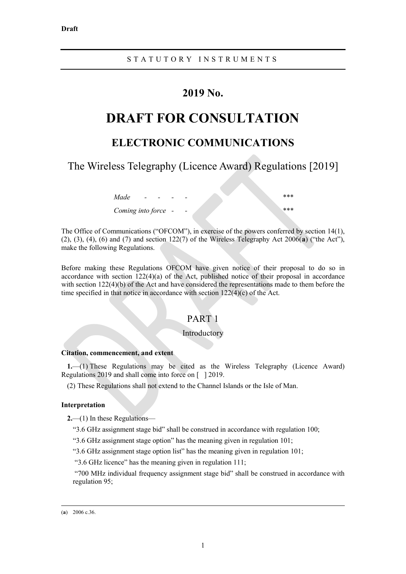## **2019 No.**

# **DRAFT FOR CONSULTATION**

## **ELECTRONIC COMMUNICATIONS**

The Wireless Telegraphy (Licence Award) Regulations [2019]

| Made<br>$\overline{\phantom{a}}$ |                          | *** |
|----------------------------------|--------------------------|-----|
| Coming into force -              | $\overline{\phantom{a}}$ | *** |

The Office of Communications ("OFCOM"), in exercise of the powers conferred by section 14(1), (2), (3), (4), (6) and (7) and section 122(7) of the Wireless Telegraphy Act 2006(**[a](#page-0-0)**) ("the Act"), make the following Regulations.

Before making these Regulations OFCOM have given notice of their proposal to do so in accordance with section 122(4)(a) of the Act, published notice of their proposal in accordance with section 122(4)(b) of the Act and have considered the representations made to them before the time specified in that notice in accordance with section 122(4)(c) of the Act.

## PART 1

### Introductory

#### **Citation, commencement, and extent**

**1.**—(1) These Regulations may be cited as the Wireless Telegraphy (Licence Award) Regulations 2019 and shall come into force on [ ] 2019.

(2) These Regulations shall not extend to the Channel Islands or the Isle of Man.

#### **Interpretation**

**2.**—(1) In these Regulations—

"3.6 GHz assignment stage bid" shall be construed in accordance with regulation 100;

"3.6 GHz assignment stage option" has the meaning given in regulation 101;

"3.6 GHz assignment stage option list" has the meaning given in regulation 101;

"3.6 GHz licence" has the meaning given in regulation 111;

"700 MHz individual frequency assignment stage bid" shall be construed in accordance with regulation 95;

#### <span id="page-0-0"></span>(**a**) 2006 c.36.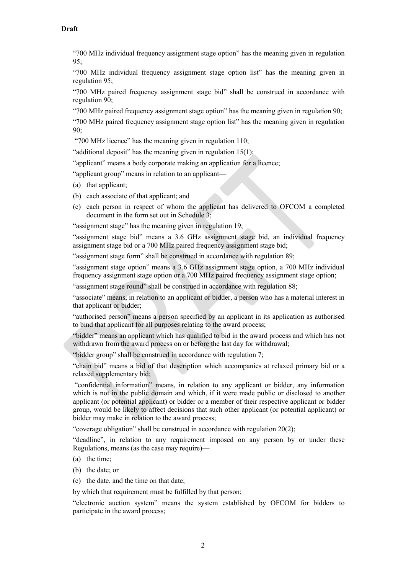"700 MHz individual frequency assignment stage option" has the meaning given in regulation 95;

"700 MHz individual frequency assignment stage option list" has the meaning given in regulation 95;

"700 MHz paired frequency assignment stage bid" shall be construed in accordance with regulation 90;

"700 MHz paired frequency assignment stage option" has the meaning given in regulation 90;

"700 MHz paired frequency assignment stage option list" has the meaning given in regulation 90;

"700 MHz licence" has the meaning given in regulation 110;

"additional deposit" has the meaning given in regulation  $15(1)$  $15(1)$ ;

"applicant" means a body corporate making an application for a licence;

"applicant group" means in relation to an applicant—

- (a) that applicant;
- (b) each associate of that applicant; and
- (c) each person in respect of whom the applicant has delivered to OFCOM a completed document in the form set out in Schedule 3;

"assignment stage" has the meaning given in regulation 19;

"assignment stage bid" means a 3.6 GHz assignment stage bid, an individual frequency assignment stage bid or a 700 MHz paired frequency assignment stage bid;

"assignment stage form" shall be construed in accordance with regulation 89;

"assignment stage option" means a 3.6 GHz assignment stage option, a 700 MHz individual frequency assignment stage option or a 700 MHz paired frequency assignment stage option;

"assignment stage round" shall be construed in accordance with regulation 88;

"associate" means, in relation to an applicant or bidder, a person who has a material interest in that applicant or bidder;

"authorised person" means a person specified by an applicant in its application as authorised to bind that applicant for all purposes relating to the award process;

"bidder" means an applicant which has qualified to bid in the award process and which has not withdrawn from the award process on or before the last day for withdrawal;

"bidder group" shall be construed in accordance with regulation [7;](#page-5-0)

"chain bid" means a bid of that description which accompanies at relaxed primary bid or a relaxed supplementary bid;

"confidential information" means, in relation to any applicant or bidder, any information which is not in the public domain and which, if it were made public or disclosed to another applicant (or potential applicant) or bidder or a member of their respective applicant or bidder group, would be likely to affect decisions that such other applicant (or potential applicant) or bidder may make in relation to the award process;

"coverage obligation" shall be construed in accordance with regulation 20(2);

"deadline", in relation to any requirement imposed on any person by or under these Regulations, means (as the case may require)—

- (a) the time;
- (b) the date; or
- (c) the date, and the time on that date;

by which that requirement must be fulfilled by that person;

"electronic auction system" means the system established by OFCOM for bidders to participate in the award process;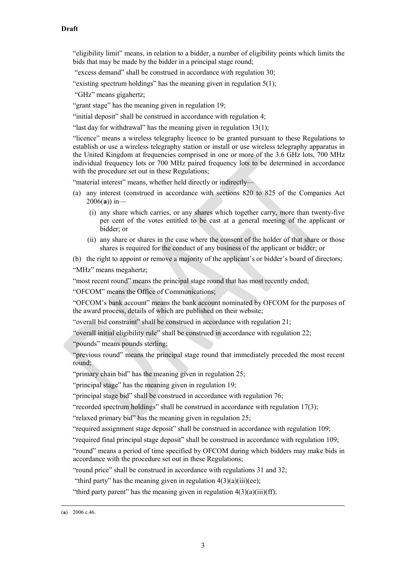"eligibility limit" means, in relation to a bidder, a number of eligibility points which limits the bids that may be made by the bidder in a principal stage round;

"excess demand" shall be construed in accordance with regulation 30;

"existing spectrum holdings" has the meaning given in regulation 5(1);

"GHz" means gigahertz;

"grant stage" has the meaning given in regulation 19;

"initial deposit" shall be construed in accordance with regulation [4;](#page-4-0)

"last day for withdrawal" has the meaning given in regulation  $13(1)$  $13(1)$ ;

"licence" means a wireless telegraphy licence to be granted pursuant to these Regulations to establish or use a wireless telegraphy station or install or use wireless telegraphy apparatus in the United Kingdom at frequencies comprised in one or more of the 3.6 GHz lots, 700 MHz individual frequency lots or 700 MHz paired frequency lots to be determined in accordance with the procedure set out in these Regulations;

"material interest" means, whether held directly or indirectly-

- (a) any interest (construed in accordance with sections 820 to 825 of the Companies Act 2006(**[a](#page-2-0)**)) in—
	- (i) any share which carries, or any shares which together carry, more than twenty-five per cent of the votes entitled to be cast at a general meeting of the applicant or bidder; or
	- (ii) any share or shares in the case where the consent of the holder of that share or those shares is required for the conduct of any business of the applicant or bidder; or

(b) the right to appoint or remove a majority of the applicant's or bidder's board of directors;

"MHz" means megahertz;

"most recent round" means the principal stage round that has most recently ended;

"OFCOM" means the Office of Communications;

"OFCOM's bank account" means the bank account nominated by OFCOM for the purposes of the award process, details of which are published on their website;

"overall bid constraint" shall be construed in accordance with regulation 21;

"overall initial eligibility rule" shall be construed in accordance with regulation 22;

"pounds" means pounds sterling;

"previous round" means the principal stage round that immediately preceded the most recent round;

"primary chain bid" has the meaning given in regulation 25;

"principal stage" has the meaning given in regulation 19;

"principal stage bid" shall be construed in accordance with regulation 76;

"recorded spectrum holdings" shall be construed in accordance with regulation 17(3);

"relaxed primary bid" has the meaning given in regulation 25;

"required assignment stage deposit" shall be construed in accordance with regulation 109;

"required final principal stage deposit" shall be construed in accordance with regulation 109;

"round" means a period of time specified by OFCOM during which bidders may make bids in accordance with the procedure set out in these Regulations;

"round price" shall be construed in accordance with regulations 31 and 32;

"third party" has the meaning given in regulation  $4(3)(a)(iii)(ee)$  $4(3)(a)(iii)(ee)$ ;

"third party parent" has the meaning given in regulation  $4(3)(a)(iii)(ff)$  $4(3)(a)(iii)(ff)$ ;

<span id="page-2-0"></span> <sup>(</sup>**a**) 2006 c.46.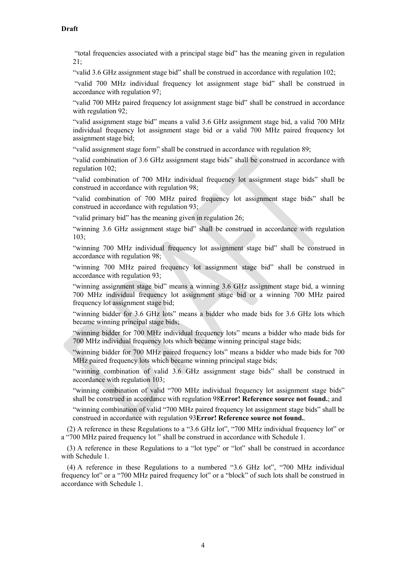"total frequencies associated with a principal stage bid" has the meaning given in regulation 21;

"valid 3.6 GHz assignment stage bid" shall be construed in accordance with regulation 102;

"valid 700 MHz individual frequency lot assignment stage bid" shall be construed in accordance with regulation 97;

"valid 700 MHz paired frequency lot assignment stage bid" shall be construed in accordance with regulation 92;

"valid assignment stage bid" means a valid 3.6 GHz assignment stage bid, a valid 700 MHz individual frequency lot assignment stage bid or a valid 700 MHz paired frequency lot assignment stage bid;

"valid assignment stage form" shall be construed in accordance with regulation 89;

"valid combination of 3.6 GHz assignment stage bids" shall be construed in accordance with regulation 102;

"valid combination of 700 MHz individual frequency lot assignment stage bids" shall be construed in accordance with regulation 98;

"valid combination of 700 MHz paired frequency lot assignment stage bids" shall be construed in accordance with regulation 93;

"valid primary bid" has the meaning given in regulation 26;

"winning 3.6 GHz assignment stage bid" shall be construed in accordance with regulation 103;

"winning 700 MHz individual frequency lot assignment stage bid" shall be construed in accordance with regulation 98;

"winning 700 MHz paired frequency lot assignment stage bid" shall be construed in accordance with regulation 93;

"winning assignment stage bid" means a winning 3.6 GHz assignment stage bid, a winning 700 MHz individual frequency lot assignment stage bid or a winning 700 MHz paired frequency lot assignment stage bid;

"winning bidder for 3.6 GHz lots" means a bidder who made bids for 3.6 GHz lots which became winning principal stage bids;

"winning bidder for 700 MHz individual frequency lots" means a bidder who made bids for 700 MHz individual frequency lots which became winning principal stage bids;

"winning bidder for 700 MHz paired frequency lots" means a bidder who made bids for 700 MHz paired frequency lots which became winning principal stage bids;

"winning combination of valid 3.6 GHz assignment stage bids" shall be construed in accordance with regulation 103;

"winning combination of valid "700 MHz individual frequency lot assignment stage bids" shall be construed in accordance with regulation 98**Error! Reference source not found.**; and

"winning combination of valid "700 MHz paired frequency lot assignment stage bids" shall be construed in accordance with regulation 93**Error! Reference source not found.**.

(2) A reference in these Regulations to a "3.6 GHz lot", "700 MHz individual frequency lot" or a "700 MHz paired frequency lot " shall be construed in accordance with Schedule 1.

(3) A reference in these Regulations to a "lot type" or "lot" shall be construed in accordance with Schedule 1.

(4) A reference in these Regulations to a numbered "3.6 GHz lot", "700 MHz individual frequency lot" or a "700 MHz paired frequency lot" or a "block" of such lots shall be construed in accordance with Schedule 1.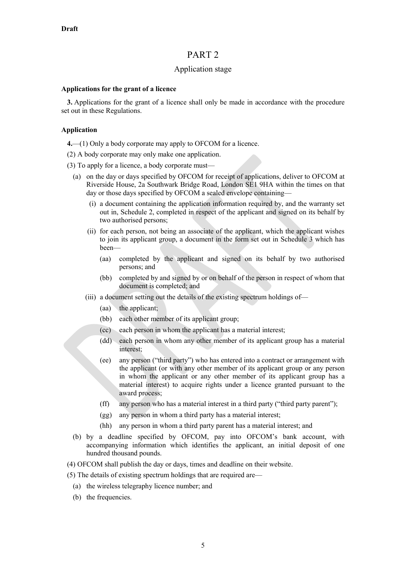## PART 2

## Application stage

#### **Applications for the grant of a licence**

**3.** Applications for the grant of a licence shall only be made in accordance with the procedure set out in these Regulations.

### <span id="page-4-0"></span>**Application**

**4.**—(1) Only a body corporate may apply to OFCOM for a licence.

- (2) A body corporate may only make one application.
- <span id="page-4-3"></span><span id="page-4-2"></span><span id="page-4-1"></span>(3) To apply for a licence, a body corporate must—
	- (a) on the day or days specified by OFCOM for receipt of applications, deliver to OFCOM at Riverside House, 2a Southwark Bridge Road, London SE1 9HA within the times on that day or those days specified by OFCOM a sealed envelope containing—
		- (i) a document containing the application information required by, and the warranty set out in, Schedule 2, completed in respect of the applicant and signed on its behalf by two authorised persons;
		- (ii) for each person, not being an associate of the applicant, which the applicant wishes to join its applicant group, a document in the form set out in Schedule 3 which has been—
			- (aa) completed by the applicant and signed on its behalf by two authorised persons; and
			- (bb) completed by and signed by or on behalf of the person in respect of whom that document is completed; and
		- (iii) a document setting out the details of the existing spectrum holdings of—
			- (aa) the applicant;
			- (bb) each other member of its applicant group;
			- (cc) each person in whom the applicant has a material interest;
			- (dd) each person in whom any other member of its applicant group has a material interest;
			- (ee) any person ("third party") who has entered into a contract or arrangement with the applicant (or with any other member of its applicant group or any person in whom the applicant or any other member of its applicant group has a material interest) to acquire rights under a licence granted pursuant to the award process;
			- (ff) any person who has a material interest in a third party ("third party parent");
			- (gg) any person in whom a third party has a material interest;
			- (hh) any person in whom a third party parent has a material interest; and
	- (b) by a deadline specified by OFCOM, pay into OFCOM's bank account, with accompanying information which identifies the applicant, an initial deposit of one hundred thousand pounds.
- (4) OFCOM shall publish the day or days, times and deadline on their website.
- (5) The details of existing spectrum holdings that are required are—
	- (a) the wireless telegraphy licence number; and
	- (b) the frequencies.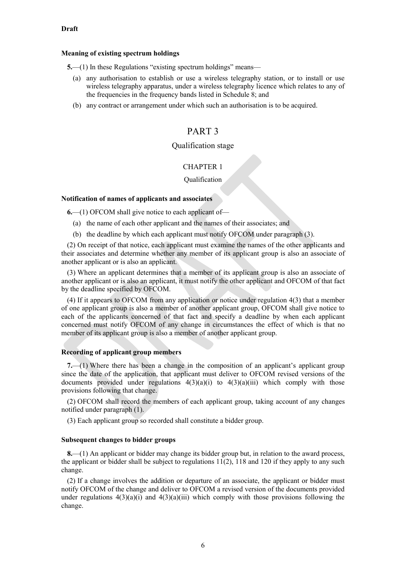#### **Meaning of existing spectrum holdings**

**5.**—(1) In these Regulations "existing spectrum holdings" means—

- (a) any authorisation to establish or use a wireless telegraphy station, or to install or use wireless telegraphy apparatus, under a wireless telegraphy licence which relates to any of the frequencies in the frequency bands listed in Schedule 8; and
- (b) any contract or arrangement under which such an authorisation is to be acquired.

## PART 3

## Qualification stage

## CHAPTER 1

#### Qualification

## **Notification of names of applicants and associates**

**6.**—(1) OFCOM shall give notice to each applicant of—

- (a) the name of each other applicant and the names of their associates; and
- (b) the deadline by which each applicant must notify OFCOM under paragraph (3).

(2) On receipt of that notice, each applicant must examine the names of the other applicants and their associates and determine whether any member of its applicant group is also an associate of another applicant or is also an applicant.

(3) Where an applicant determines that a member of its applicant group is also an associate of another applicant or is also an applicant, it must notify the other applicant and OFCOM of that fact by the deadline specified by OFCOM.

(4) If it appears to OFCOM from any application or notice under regulation [4\(3\)](#page-4-1) that a member of one applicant group is also a member of another applicant group, OFCOM shall give notice to each of the applicants concerned of that fact and specify a deadline by when each applicant concerned must notify OFCOM of any change in circumstances the effect of which is that no member of its applicant group is also a member of another applicant group.

#### **Recording of applicant group members**

<span id="page-5-1"></span><span id="page-5-0"></span>**7.**—(1) Where there has been a change in the composition of an applicant's applicant group since the date of the application, that applicant must deliver to OFCOM revised versions of the documents provided under regulations  $4(3)(a)(i)$  to  $4(3)(a)(iii)$  which comply with those provisions following that change.

(2) OFCOM shall record the members of each applicant group, taking account of any changes notified under paragraph (1).

(3) Each applicant group so recorded shall constitute a bidder group.

#### **Subsequent changes to bidder groups**

**8.**—(1) An applicant or bidder may change its bidder group but, in relation to the award process, the applicant or bidder shall be subject to regulations [11\(2\),](#page-7-1) 118 and 120 if they apply to any such change.

<span id="page-5-2"></span>(2) If a change involves the addition or departure of an associate, the applicant or bidder must notify OFCOM of the change and deliver to OFCOM a revised version of the documents provided under regulations  $4(3)(a)(i)$  and  $4(3)(a)(iii)$  which comply with those provisions following the change.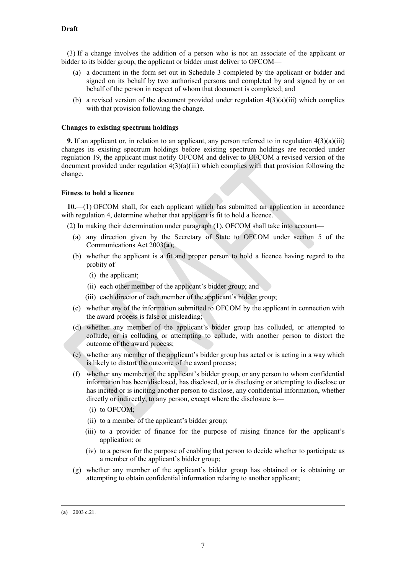<span id="page-6-2"></span>(3) If a change involves the addition of a person who is not an associate of the applicant or bidder to its bidder group, the applicant or bidder must deliver to OFCOM—

- (a) a document in the form set out in Schedule 3 completed by the applicant or bidder and signed on its behalf by two authorised persons and completed by and signed by or on behalf of the person in respect of whom that document is completed; and
- (b) a revised version of the document provided under regulation  $4(3)(a)(iii)$  which complies with that provision following the change.

#### **Changes to existing spectrum holdings**

<span id="page-6-3"></span>**9.** If an applicant or, in relation to an applicant, any person referred to in regulation  $4(3)(a)(iii)$ changes its existing spectrum holdings before existing spectrum holdings are recorded under regulation 19, the applicant must notify OFCOM and deliver to OFCOM a revised version of the document provided under regulation  $4(3)(a)(iii)$  which complies with that provision following the change.

#### **Fitness to hold a licence**

<span id="page-6-1"></span>**10.**—(1) OFCOM shall, for each applicant which has submitted an application in accordance with regulation 4, determine whether that applicant is fit to hold a licence.

(2) In making their determination under paragraph (1), OFCOM shall take into account—

- (a) any direction given by the Secretary of State to OFCOM under section 5 of the Communications Act 2003(**[a](#page-6-0)**);
- (b) whether the applicant is a fit and proper person to hold a licence having regard to the probity of—
	- (i) the applicant;
	- (ii) each other member of the applicant's bidder group; and
	- (iii) each director of each member of the applicant's bidder group;
- (c) whether any of the information submitted to OFCOM by the applicant in connection with the award process is false or misleading;
- (d) whether any member of the applicant's bidder group has colluded, or attempted to collude, or is colluding or attempting to collude, with another person to distort the outcome of the award process;
- (e) whether any member of the applicant's bidder group has acted or is acting in a way which is likely to distort the outcome of the award process;
- (f) whether any member of the applicant's bidder group, or any person to whom confidential information has been disclosed, has disclosed, or is disclosing or attempting to disclose or has incited or is inciting another person to disclose, any confidential information, whether directly or indirectly, to any person, except where the disclosure is—
	- (i) to OFCOM;
	- (ii) to a member of the applicant's bidder group;
	- (iii) to a provider of finance for the purpose of raising finance for the applicant's application; or
	- (iv) to a person for the purpose of enabling that person to decide whether to participate as a member of the applicant's bidder group;
- (g) whether any member of the applicant's bidder group has obtained or is obtaining or attempting to obtain confidential information relating to another applicant;

<span id="page-6-0"></span> <sup>(</sup>**a**) 2003 c.21.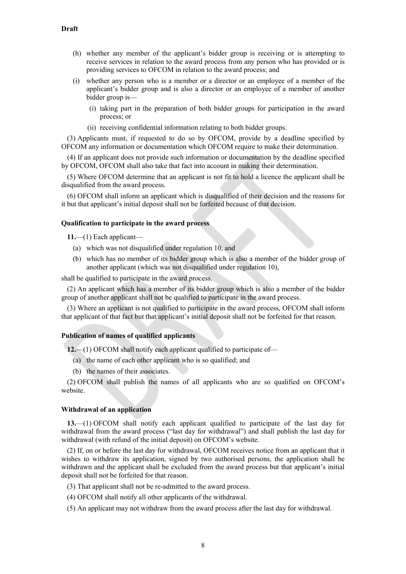- (h) whether any member of the applicant's bidder group is receiving or is attempting to receive services in relation to the award process from any person who has provided or is providing services to OFCOM in relation to the award process; and
- (i) whether any person who is a member or a director or an employee of a member of the applicant's bidder group and is also a director or an employee of a member of another bidder group is—
	- (i) taking part in the preparation of both bidder groups for participation in the award process; or
	- (ii) receiving confidential information relating to both bidder groups.

(3) Applicants must, if requested to do so by OFCOM, provide by a deadline specified by OFCOM any information or documentation which OFCOM require to make their determination.

(4) If an applicant does not provide such information or documentation by the deadline specified by OFCOM, OFCOM shall also take that fact into account in making their determination.

(5) Where OFCOM determine that an applicant is not fit to hold a licence the applicant shall be disqualified from the award process.

(6) OFCOM shall inform an applicant which is disqualified of their decision and the reasons for it but that applicant's initial deposit shall not be forfeited because of that decision.

#### <span id="page-7-2"></span>**Qualification to participate in the award process**

**11.**—(1) Each applicant—

- (a) which was not disqualified under regulation [10,](#page-6-1) and
- (b) which has no member of its bidder group which is also a member of the bidder group of another applicant (which was not disqualified under regulation 10),

shall be qualified to participate in the award process.

<span id="page-7-1"></span>(2) An applicant which has a member of its bidder group which is also a member of the bidder group of another applicant shall not be qualified to participate in the award process.

(3) Where an applicant is not qualified to participate in the award process, OFCOM shall inform that applicant of that fact but that applicant's initial deposit shall not be forfeited for that reason.

#### **Publication of names of qualified applicants**

**12.**—(1) OFCOM shall notify each applicant qualified to participate of—

- (a) the name of each other applicant who is so qualified; and
- (b) the names of their associates.

(2) OFCOM shall publish the names of all applicants who are so qualified on OFCOM's website.

#### **Withdrawal of an application**

<span id="page-7-0"></span>**13.**—(1) OFCOM shall notify each applicant qualified to participate of the last day for withdrawal from the award process ("last day for withdrawal") and shall publish the last day for withdrawal (with refund of the initial deposit) on OFCOM's website.

(2) If, on or before the last day for withdrawal, OFCOM receives notice from an applicant that it wishes to withdraw its application, signed by two authorised persons, the application shall be withdrawn and the applicant shall be excluded from the award process but that applicant's initial deposit shall not be forfeited for that reason.

(3) That applicant shall not be re-admitted to the award process.

- (4) OFCOM shall notify all other applicants of the withdrawal.
- (5) An applicant may not withdraw from the award process after the last day for withdrawal.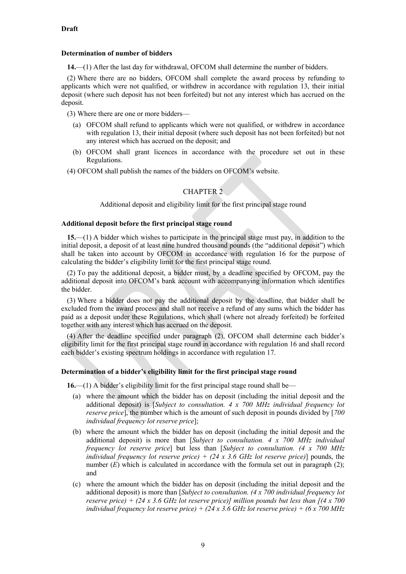### **Determination of number of bidders**

**14.**—(1) After the last day for withdrawal, OFCOM shall determine the number of bidders.

(2) Where there are no bidders, OFCOM shall complete the award process by refunding to applicants which were not qualified, or withdrew in accordance with regulation [13,](#page-7-0) their initial deposit (where such deposit has not been forfeited) but not any interest which has accrued on the deposit.

(3) Where there are one or more bidders—

- (a) OFCOM shall refund to applicants which were not qualified, or withdrew in accordance with regulation [13,](#page-7-0) their initial deposit (where such deposit has not been forfeited) but not any interest which has accrued on the deposit; and
- (b) OFCOM shall grant licences in accordance with the procedure set out in these Regulations.
- (4) OFCOM shall publish the names of the bidders on OFCOM's website.

## CHAPTER<sub>2</sub>

Additional deposit and eligibility limit for the first principal stage round

## **Additional deposit before the first principal stage round**

<span id="page-8-0"></span>**15.**—(1) A bidder which wishes to participate in the principal stage must pay, in addition to the initial deposit, a deposit of at least nine hundred thousand pounds (the "additional deposit") which shall be taken into account by OFCOM in accordance with regulation [16](#page-8-1) for the purpose of calculating the bidder's eligibility limit for the first principal stage round.

<span id="page-8-2"></span>(2) To pay the additional deposit, a bidder must, by a deadline specified by OFCOM, pay the additional deposit into OFCOM's bank account with accompanying information which identifies the bidder.

(3) Where a bidder does not pay the additional deposit by the deadline, that bidder shall be excluded from the award process and shall not receive a refund of any sums which the bidder has paid as a deposit under these Regulations, which shall (where not already forfeited) be forfeited together with any interest which has accrued on the deposit.

(4) After the deadline specified under paragraph (2), OFCOM shall determine each bidder's eligibility limit for the first principal stage round in accordance with regulation [16](#page-8-1) and shall record each bidder's existing spectrum holdings in accordance with regulation 17.

## **Determination of a bidder's eligibility limit for the first principal stage round**

**16.**—(1) A bidder's eligibility limit for the first principal stage round shall be—

- <span id="page-8-1"></span>(a) where the amount which the bidder has on deposit (including the initial deposit and the additional deposit) is [*Subject to consultation. 4 x 700 MHz individual frequency lot reserve price*], the number which is the amount of such deposit in pounds divided by [*700 individual frequency lot reserve price*];
- (b) where the amount which the bidder has on deposit (including the initial deposit and the additional deposit) is more than [*Subject to consultation. 4 x 700 MHz individual frequency lot reserve price*] but less than [*Subject to consultation. (4 x 700 MHz individual frequency lot reserve price) + (24 x 3.6 GHz lot reserve price)*] pounds, the number  $(E)$  which is calculated in accordance with the formula set out in paragraph  $(2)$ ; and
- (c) where the amount which the bidder has on deposit (including the initial deposit and the additional deposit) is more than [*Subject to consultation. (4 x 700 individual frequency lot reserve price) + (24 x 3.6 GHz lot reserve price)] million pounds but less than [(4 x 700 individual frequency lot reserve price) + (24 x 3.6 GHz lot reserve price) + (6 x 700 MHz*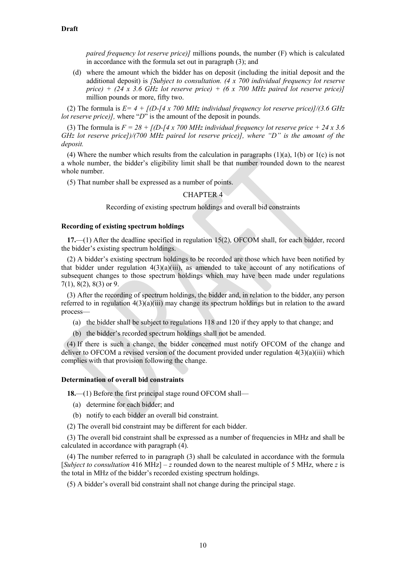*paired frequency lot reserve price)]* millions pounds, the number (F) which is calculated in accordance with the formula set out in paragraph (3); and

(d) where the amount which the bidder has on deposit (including the initial deposit and the additional deposit) is *[Subject to consultation. (4 x 700 individual frequency lot reserve price) + (24 x 3.6 GHz lot reserve price) + (6 x 700 MHz paired lot reserve price)]* million pounds or more, fifty two.

(2) The formula is *E= 4 + [(D-[4 x 700 MHz individual frequency lot reserve price)]/(3.6 GHz lot reserve price)]*, where "*D*" is the amount of the deposit in pounds.

(3) The formula is  $F = 28 + f(D)$ -*f* 4 x 700 MHz individual frequency lot reserve price  $+ 24 \times 3.6$ *GHz lot reserve price])/(700 MHz paired lot reserve price)], where "D" is the amount of the deposit.*

(4) Where the number which results from the calculation in paragraphs (1)(a), 1(b) or 1(c) is not a whole number, the bidder's eligibility limit shall be that number rounded down to the nearest whole number.

(5) That number shall be expressed as a number of points.

#### CHAPTER 4

Recording of existing spectrum holdings and overall bid constraints

#### **Recording of existing spectrum holdings**

**17.**—(1) After the deadline specified in regulation [15\(2\),](#page-8-2) OFCOM shall, for each bidder, record the bidder's existing spectrum holdings.

(2) A bidder's existing spectrum holdings to be recorded are those which have been notified by that bidder under regulation  $4(3)(a)(iii)$ , as amended to take account of any notifications of subsequent changes to those spectrum holdings which may have been made under regulations [7\(1\),](#page-5-1) [8\(2\),](#page-5-2) [8\(3\)](#page-6-2) or [9.](#page-6-3)

(3) After the recording of spectrum holdings, the bidder and, in relation to the bidder, any person referred to in regulation  $4(3)(a)(iii)$  may change its spectrum holdings but in relation to the award process—

(a) the bidder shall be subject to regulations 118 and 120 if they apply to that change; and

(b) the bidder's recorded spectrum holdings shall not be amended.

(4) If there is such a change, the bidder concerned must notify OFCOM of the change and deliver to OFCOM a revised version of the document provided under regulation [4\(3\)\(a\)\(iii\)](#page-4-3) which complies with that provision following the change.

#### **Determination of overall bid constraints**

**18.**—(1) Before the first principal stage round OFCOM shall—

- (a) determine for each bidder; and
- (b) notify to each bidder an overall bid constraint.
- (2) The overall bid constraint may be different for each bidder.

(3) The overall bid constraint shall be expressed as a number of frequencies in MHz and shall be calculated in accordance with paragraph (4).

(4) The number referred to in paragraph (3) shall be calculated in accordance with the formula [*Subject to consultation* 416 MHz] – *z* rounded down to the nearest multiple of 5 MHz, where *z* is the total in MHz of the bidder's recorded existing spectrum holdings.

(5) A bidder's overall bid constraint shall not change during the principal stage.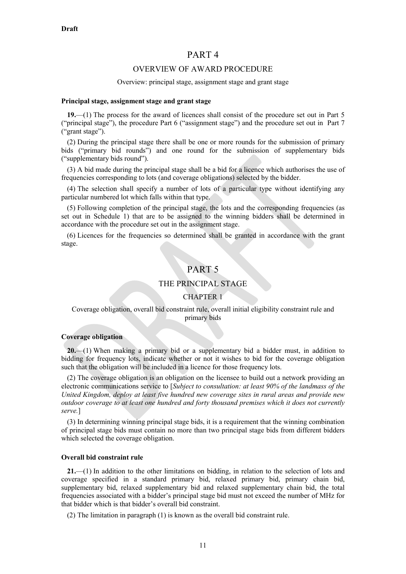## PART 4

### OVERVIEW OF AWARD PROCEDURE

#### Overview: principal stage, assignment stage and grant stage

#### **Principal stage, assignment stage and grant stage**

**19.**—(1) The process for the award of licences shall consist of the procedure set out in Part 5 ("principal stage"), the procedure Part 6 ("assignment stage") and the procedure set out in Part 7 ("grant stage").

(2) During the principal stage there shall be one or more rounds for the submission of primary bids ("primary bid rounds") and one round for the submission of supplementary bids ("supplementary bids round").

(3) A bid made during the principal stage shall be a bid for a licence which authorises the use of frequencies corresponding to lots (and coverage obligations) selected by the bidder.

(4) The selection shall specify a number of lots of a particular type without identifying any particular numbered lot which falls within that type.

(5) Following completion of the principal stage, the lots and the corresponding frequencies (as set out in Schedule 1) that are to be assigned to the winning bidders shall be determined in accordance with the procedure set out in the assignment stage.

(6) Licences for the frequencies so determined shall be granted in accordance with the grant stage.

## PART 5

## THE PRINCIPAL STAGE

#### CHAPTER 1

#### Coverage obligation, overall bid constraint rule, overall initial eligibility constraint rule and primary bids

#### **Coverage obligation**

**20.**—(1) When making a primary bid or a supplementary bid a bidder must, in addition to bidding for frequency lots, indicate whether or not it wishes to bid for the coverage obligation such that the obligation will be included in a licence for those frequency lots.

(2) The coverage obligation is an obligation on the licensee to build out a network providing an electronic communications service to [*Subject to consultation: at least 90% of the landmass of the United Kingdom, deploy at least five hundred new coverage sites in rural areas and provide new outdoor coverage to at least one hundred and forty thousand premises which it does not currently serve.*]

(3) In determining winning principal stage bids, it is a requirement that the winning combination of principal stage bids must contain no more than two principal stage bids from different bidders which selected the coverage obligation.

#### **Overall bid constraint rule**

**21.**—(1) In addition to the other limitations on bidding, in relation to the selection of lots and coverage specified in a standard primary bid, relaxed primary bid, primary chain bid, supplementary bid, relaxed supplementary bid and relaxed supplementary chain bid, the total frequencies associated with a bidder's principal stage bid must not exceed the number of MHz for that bidder which is that bidder's overall bid constraint.

(2) The limitation in paragraph (1) is known as the overall bid constraint rule.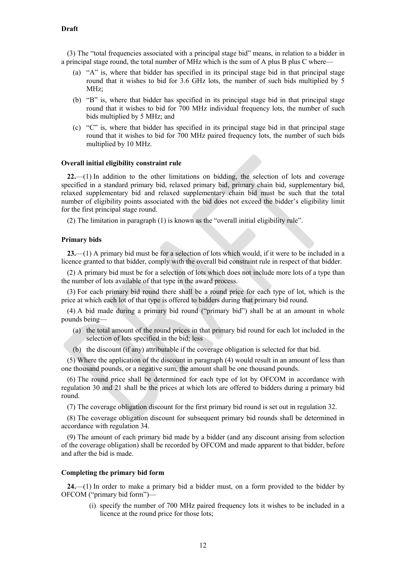(3) The "total frequencies associated with a principal stage bid" means, in relation to a bidder in a principal stage round, the total number of MHz which is the sum of A plus B plus C where—

- (a) "A" is, where that bidder has specified in its principal stage bid in that principal stage round that it wishes to bid for 3.6 GHz lots, the number of such bids multiplied by 5 MHz;
- (b) "B" is, where that bidder has specified in its principal stage bid in that principal stage round that it wishes to bid for 700 MHz individual frequency lots, the number of such bids multiplied by 5 MHz; and
- (c) "C" is, where that bidder has specified in its principal stage bid in that principal stage round that it wishes to bid for 700 MHz paired frequency lots, the number of such bids multiplied by 10 MHz.

#### **Overall initial eligibility constraint rule**

**22.**—(1) In addition to the other limitations on bidding, the selection of lots and coverage specified in a standard primary bid, relaxed primary bid, primary chain bid, supplementary bid, relaxed supplementary bid and relaxed supplementary chain bid must be such that the total number of eligibility points associated with the bid does not exceed the bidder's eligibility limit for the first principal stage round.

(2) The limitation in paragraph (1) is known as the "overall initial eligibility rule".

#### **Primary bids**

**23.**—(1) A primary bid must be for a selection of lots which would, if it were to be included in a licence granted to that bidder, comply with the overall bid constraint rule in respect of that bidder.

(2) A primary bid must be for a selection of lots which does not include more lots of a type than the number of lots available of that type in the award process.

(3) For each primary bid round there shall be a round price for each type of lot, which is the price at which each lot of that type is offered to bidders during that primary bid round.

(4) A bid made during a primary bid round ("primary bid") shall be at an amount in whole pounds being—

- (a) the total amount of the round prices in that primary bid round for each lot included in the selection of lots specified in the bid; less
- (b) the discount (if any) attributable if the coverage obligation is selected for that bid.

(5) Where the application of the discount in paragraph (4) would result in an amount of less than one thousand pounds, or a negative sum, the amount shall be one thousand pounds.

(6) The round price shall be determined for each type of lot by OFCOM in accordance with regulation 30 and 21 shall be the prices at which lots are offered to bidders during a primary bid round.

(7) The coverage obligation discount for the first primary bid round is set out in regulation 32.

(8) The coverage obligation discount for subsequent primary bid rounds shall be determined in accordance with regulation 34.

(9) The amount of each primary bid made by a bidder (and any discount arising from selection of the coverage obligation) shall be recorded by OFCOM and made apparent to that bidder, before and after the bid is made.

#### **Completing the primary bid form**

**24.**—(1) In order to make a primary bid a bidder must, on a form provided to the bidder by OFCOM ("primary bid form")—

(i) specify the number of 700 MHz paired frequency lots it wishes to be included in a licence at the round price for those lots;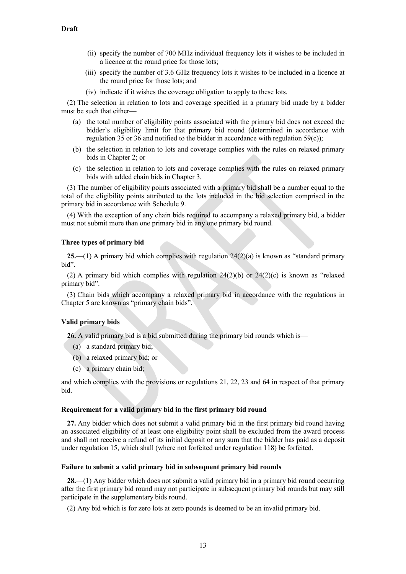- (ii) specify the number of 700 MHz individual frequency lots it wishes to be included in a licence at the round price for those lots;
- (iii) specify the number of 3.6 GHz frequency lots it wishes to be included in a licence at the round price for those lots; and
- (iv) indicate if it wishes the coverage obligation to apply to these lots.

(2) The selection in relation to lots and coverage specified in a primary bid made by a bidder must be such that either—

- (a) the total number of eligibility points associated with the primary bid does not exceed the bidder's eligibility limit for that primary bid round (determined in accordance with regulation  $35$  or  $36$  and notified to the bidder in accordance with regulation  $59(c)$ );
- (b) the selection in relation to lots and coverage complies with the rules on relaxed primary bids in Chapter 2; or
- (c) the selection in relation to lots and coverage complies with the rules on relaxed primary bids with added chain bids in Chapter 3.

(3) The number of eligibility points associated with a primary bid shall be a number equal to the total of the eligibility points attributed to the lots included in the bid selection comprised in the primary bid in accordance with Schedule 9.

(4) With the exception of any chain bids required to accompany a relaxed primary bid, a bidder must not submit more than one primary bid in any one primary bid round.

### **Three types of primary bid**

**25.**—(1) A primary bid which complies with regulation 24(2)(a) is known as "standard primary bid".

(2) A primary bid which complies with regulation  $24(2)(b)$  or  $24(2)(c)$  is known as "relaxed primary bid".

(3) Chain bids which accompany a relaxed primary bid in accordance with the regulations in Chapter 5 are known as "primary chain bids".

#### **Valid primary bids**

**26.** A valid primary bid is a bid submitted during the primary bid rounds which is—

- (a) a standard primary bid;
- (b) a relaxed primary bid; or
- (c) a primary chain bid;

and which complies with the provisions or regulations 21, 22, 23 and 64 in respect of that primary bid.

#### **Requirement for a valid primary bid in the first primary bid round**

**27.** Any bidder which does not submit a valid primary bid in the first primary bid round having an associated eligibility of at least one eligibility point shall be excluded from the award process and shall not receive a refund of its initial deposit or any sum that the bidder has paid as a deposit under regulation 15, which shall (where not forfeited under regulation 118) be forfeited.

#### **Failure to submit a valid primary bid in subsequent primary bid rounds**

**28.**—(1) Any bidder which does not submit a valid primary bid in a primary bid round occurring after the first primary bid round may not participate in subsequent primary bid rounds but may still participate in the supplementary bids round.

(2) Any bid which is for zero lots at zero pounds is deemed to be an invalid primary bid.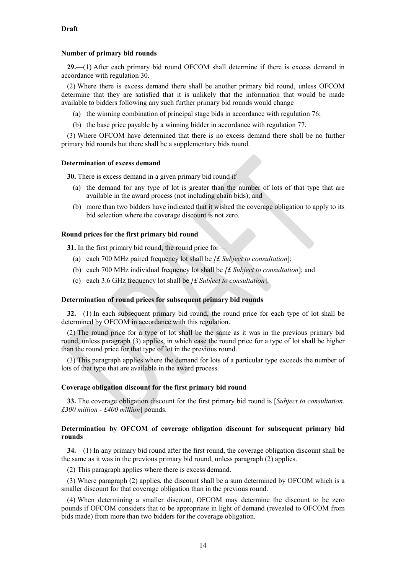#### **Number of primary bid rounds**

**29.**—(1) After each primary bid round OFCOM shall determine if there is excess demand in accordance with regulation 30.

(2) Where there is excess demand there shall be another primary bid round, unless OFCOM determine that they are satisfied that it is unlikely that the information that would be made available to bidders following any such further primary bid rounds would change—

- (a) the winning combination of principal stage bids in accordance with regulation 76;
- (b) the base price payable by a winning bidder in accordance with regulation 77.

(3) Where OFCOM have determined that there is no excess demand there shall be no further primary bid rounds but there shall be a supplementary bids round.

#### **Determination of excess demand**

**30.** There is excess demand in a given primary bid round if—

- (a) the demand for any type of lot is greater than the number of lots of that type that are available in the award process (not including chain bids); and
- (b) more than two bidders have indicated that it wished the coverage obligation to apply to its bid selection where the coverage discount is not zero.

#### **Round prices for the first primary bid round**

**31.** In the first primary bid round, the round price for—

- (a) each 700 MHz paired frequency lot shall be *[£ Subject to consultation*];
- (b) each 700 MHz individual frequency lot shall be *[£ Subject to consultation*]; and
- (c) each 3.6 GHz frequency lot shall be *[£ Subject to consultation*].

#### **Determination of round prices for subsequent primary bid rounds**

**32.**—(1) In each subsequent primary bid round, the round price for each type of lot shall be determined by OFCOM in accordance with this regulation.

(2) The round price for a type of lot shall be the same as it was in the previous primary bid round, unless paragraph (3) applies, in which case the round price for a type of lot shall be higher than the round price for that type of lot in the previous round.

(3) This paragraph applies where the demand for lots of a particular type exceeds the number of lots of that type that are available in the award process.

#### **Coverage obligation discount for the first primary bid round**

**33.** The coverage obligation discount for the first primary bid round is [*Subject to consultation. £300 million - £400 million*] pounds.

#### **Determination by OFCOM of coverage obligation discount for subsequent primary bid rounds**

**34.**—(1) In any primary bid round after the first round, the coverage obligation discount shall be the same as it was in the previous primary bid round, unless paragraph (2) applies.

(2) This paragraph applies where there is excess demand.

(3) Where paragraph (2) applies, the discount shall be a sum determined by OFCOM which is a smaller discount for that coverage obligation than in the previous round.

(4) When determining a smaller discount, OFCOM may determine the discount to be zero pounds if OFCOM considers that to be appropriate in light of demand (revealed to OFCOM from bids made) from more than two bidders for the coverage obligation.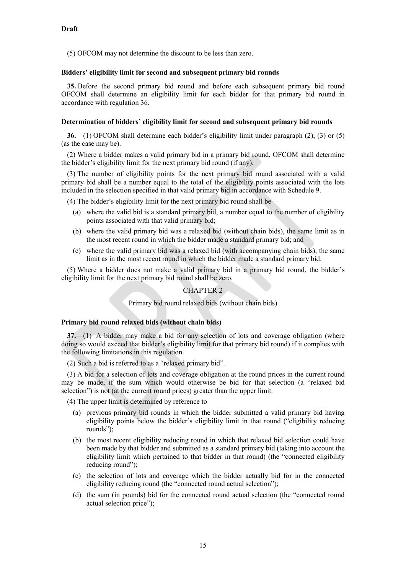(5) OFCOM may not determine the discount to be less than zero.

#### **Bidders' eligibility limit for second and subsequent primary bid rounds**

**35.** Before the second primary bid round and before each subsequent primary bid round OFCOM shall determine an eligibility limit for each bidder for that primary bid round in accordance with regulation 36.

### **Determination of bidders' eligibility limit for second and subsequent primary bid rounds**

**36.**—(1) OFCOM shall determine each bidder's eligibility limit under paragraph [\(2\),](#page-14-0) (3) or (5) (as the case may be).

<span id="page-14-0"></span>(2) Where a bidder makes a valid primary bid in a primary bid round, OFCOM shall determine the bidder's eligibility limit for the next primary bid round (if any).

(3) The number of eligibility points for the next primary bid round associated with a valid primary bid shall be a number equal to the total of the eligibility points associated with the lots included in the selection specified in that valid primary bid in accordance with Schedule 9.

(4) The bidder's eligibility limit for the next primary bid round shall be—

- (a) where the valid bid is a standard primary bid, a number equal to the number of eligibility points associated with that valid primary bid;
- (b) where the valid primary bid was a relaxed bid (without chain bids), the same limit as in the most recent round in which the bidder made a standard primary bid; and
- (c) where the valid primary bid was a relaxed bid (with accompanying chain bids), the same limit as in the most recent round in which the bidder made a standard primary bid.

(5) Where a bidder does not make a valid primary bid in a primary bid round, the bidder's eligibility limit for the next primary bid round shall be zero.

## CHAPTER 2

#### Primary bid round relaxed bids (without chain bids)

#### **Primary bid round relaxed bids (without chain bids)**

**37.**—(1) A bidder may make a bid for any selection of lots and coverage obligation (where doing so would exceed that bidder's eligibility limit for that primary bid round) if it complies with the following limitations in this regulation.

(2) Such a bid is referred to as a "relaxed primary bid".

(3) A bid for a selection of lots and coverage obligation at the round prices in the current round may be made, if the sum which would otherwise be bid for that selection (a "relaxed bid selection") is not (at the current round prices) greater than the upper limit.

(4) The upper limit is determined by reference to—

- (a) previous primary bid rounds in which the bidder submitted a valid primary bid having eligibility points below the bidder's eligibility limit in that round ("eligibility reducing rounds");
- (b) the most recent eligibility reducing round in which that relaxed bid selection could have been made by that bidder and submitted as a standard primary bid (taking into account the eligibility limit which pertained to that bidder in that round) (the "connected eligibility reducing round");
- (c) the selection of lots and coverage which the bidder actually bid for in the connected eligibility reducing round (the "connected round actual selection");
- (d) the sum (in pounds) bid for the connected round actual selection (the "connected round actual selection price");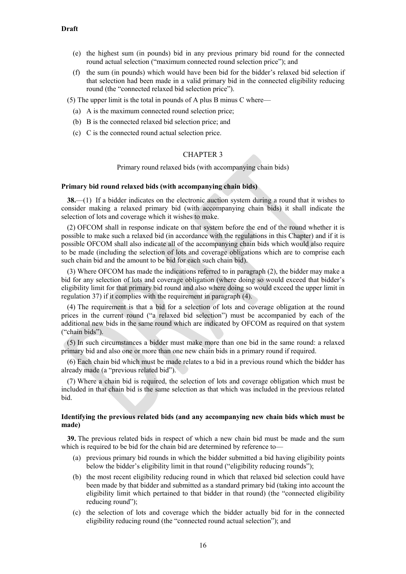- (e) the highest sum (in pounds) bid in any previous primary bid round for the connected round actual selection ("maximum connected round selection price"); and
- (f) the sum (in pounds) which would have been bid for the bidder's relaxed bid selection if that selection had been made in a valid primary bid in the connected eligibility reducing round (the "connected relaxed bid selection price").

(5) The upper limit is the total in pounds of A plus B minus C where—

- (a) A is the maximum connected round selection price;
- (b) B is the connected relaxed bid selection price; and
- (c) C is the connected round actual selection price.

## CHAPTER 3

Primary round relaxed bids (with accompanying chain bids)

#### **Primary bid round relaxed bids (with accompanying chain bids)**

**38.**—(1) If a bidder indicates on the electronic auction system during a round that it wishes to consider making a relaxed primary bid (with accompanying chain bids) it shall indicate the selection of lots and coverage which it wishes to make.

(2) OFCOM shall in response indicate on that system before the end of the round whether it is possible to make such a relaxed bid (in accordance with the regulations in this Chapter) and if it is possible OFCOM shall also indicate all of the accompanying chain bids which would also require to be made (including the selection of lots and coverage obligations which are to comprise each such chain bid and the amount to be bid for each such chain bid).

(3) Where OFCOM has made the indications referred to in paragraph (2), the bidder may make a bid for any selection of lots and coverage obligation (where doing so would exceed that bidder's eligibility limit for that primary bid round and also where doing so would exceed the upper limit in regulation 37) if it complies with the requirement in paragraph (4).

(4) The requirement is that a bid for a selection of lots and coverage obligation at the round prices in the current round ("a relaxed bid selection") must be accompanied by each of the additional new bids in the same round which are indicated by OFCOM as required on that system ("chain bids").

(5) In such circumstances a bidder must make more than one bid in the same round: a relaxed primary bid and also one or more than one new chain bids in a primary round if required.

(6) Each chain bid which must be made relates to a bid in a previous round which the bidder has already made (a "previous related bid").

(7) Where a chain bid is required, the selection of lots and coverage obligation which must be included in that chain bid is the same selection as that which was included in the previous related bid.

#### **Identifying the previous related bids (and any accompanying new chain bids which must be made)**

**39.** The previous related bids in respect of which a new chain bid must be made and the sum which is required to be bid for the chain bid are determined by reference to—

- (a) previous primary bid rounds in which the bidder submitted a bid having eligibility points below the bidder's eligibility limit in that round ("eligibility reducing rounds");
- (b) the most recent eligibility reducing round in which that relaxed bid selection could have been made by that bidder and submitted as a standard primary bid (taking into account the eligibility limit which pertained to that bidder in that round) (the "connected eligibility reducing round");
- (c) the selection of lots and coverage which the bidder actually bid for in the connected eligibility reducing round (the "connected round actual selection"); and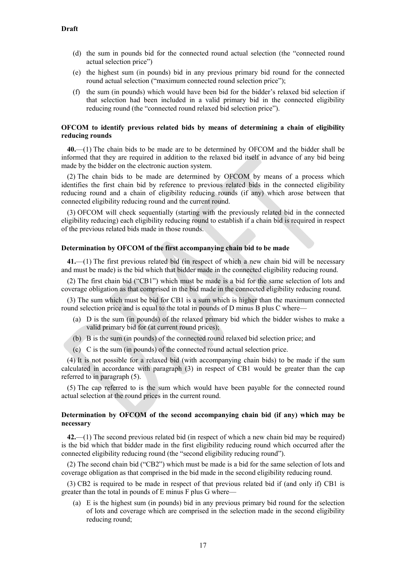- (d) the sum in pounds bid for the connected round actual selection (the "connected round actual selection price")
- (e) the highest sum (in pounds) bid in any previous primary bid round for the connected round actual selection ("maximum connected round selection price");
- (f) the sum (in pounds) which would have been bid for the bidder's relaxed bid selection if that selection had been included in a valid primary bid in the connected eligibility reducing round (the "connected round relaxed bid selection price").

### **OFCOM to identify previous related bids by means of determining a chain of eligibility reducing rounds**

**40.**—(1) The chain bids to be made are to be determined by OFCOM and the bidder shall be informed that they are required in addition to the relaxed bid itself in advance of any bid being made by the bidder on the electronic auction system.

(2) The chain bids to be made are determined by OFCOM by means of a process which identifies the first chain bid by reference to previous related bids in the connected eligibility reducing round and a chain of eligibility reducing rounds (if any) which arose between that connected eligibility reducing round and the current round.

(3) OFCOM will check sequentially (starting with the previously related bid in the connected eligibility reducing) each eligibility reducing round to establish if a chain bid is required in respect of the previous related bids made in those rounds.

#### **Determination by OFCOM of the first accompanying chain bid to be made**

**41.**—(1) The first previous related bid (in respect of which a new chain bid will be necessary and must be made) is the bid which that bidder made in the connected eligibility reducing round.

(2) The first chain bid ("CB1") which must be made is a bid for the same selection of lots and coverage obligation as that comprised in the bid made in the connected eligibility reducing round.

(3) The sum which must be bid for CB1 is a sum which is higher than the maximum connected round selection price and is equal to the total in pounds of D minus B plus C where—

- (a) D is the sum (in pounds) of the relaxed primary bid which the bidder wishes to make a valid primary bid for (at current round prices);
- (b) B is the sum (in pounds) of the connected round relaxed bid selection price; and
- (c) C is the sum (in pounds) of the connected round actual selection price.

(4) It is not possible for a relaxed bid (with accompanying chain bids) to be made if the sum calculated in accordance with paragraph (3) in respect of CB1 would be greater than the cap referred to in paragraph (5).

(5) The cap referred to is the sum which would have been payable for the connected round actual selection at the round prices in the current round.

### **Determination by OFCOM of the second accompanying chain bid (if any) which may be necessary**

**42.**—(1) The second previous related bid (in respect of which a new chain bid may be required) is the bid which that bidder made in the first eligibility reducing round which occurred after the connected eligibility reducing round (the "second eligibility reducing round").

(2) The second chain bid ("CB2") which must be made is a bid for the same selection of lots and coverage obligation as that comprised in the bid made in the second eligibility reducing round.

(3) CB2 is required to be made in respect of that previous related bid if (and only if) CB1 is greater than the total in pounds of E minus F plus G where—

(a) E is the highest sum (in pounds) bid in any previous primary bid round for the selection of lots and coverage which are comprised in the selection made in the second eligibility reducing round;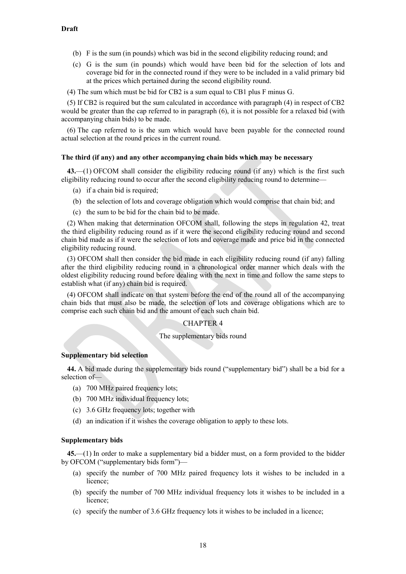- (b) F is the sum (in pounds) which was bid in the second eligibility reducing round; and
- (c) G is the sum (in pounds) which would have been bid for the selection of lots and coverage bid for in the connected round if they were to be included in a valid primary bid at the prices which pertained during the second eligibility round.
- (4) The sum which must be bid for CB2 is a sum equal to CB1 plus F minus G.

(5) If CB2 is required but the sum calculated in accordance with paragraph (4) in respect of CB2 would be greater than the cap referred to in paragraph (6), it is not possible for a relaxed bid (with accompanying chain bids) to be made.

(6) The cap referred to is the sum which would have been payable for the connected round actual selection at the round prices in the current round.

#### **The third (if any) and any other accompanying chain bids which may be necessary**

**43.**—(1) OFCOM shall consider the eligibility reducing round (if any) which is the first such eligibility reducing round to occur after the second eligibility reducing round to determine—

- (a) if a chain bid is required;
- (b) the selection of lots and coverage obligation which would comprise that chain bid; and
- (c) the sum to be bid for the chain bid to be made.

(2) When making that determination OFCOM shall, following the steps in regulation 42, treat the third eligibility reducing round as if it were the second eligibility reducing round and second chain bid made as if it were the selection of lots and coverage made and price bid in the connected eligibility reducing round.

(3) OFCOM shall then consider the bid made in each eligibility reducing round (if any) falling after the third eligibility reducing round in a chronological order manner which deals with the oldest eligibility reducing round before dealing with the next in time and follow the same steps to establish what (if any) chain bid is required.

(4) OFCOM shall indicate on that system before the end of the round all of the accompanying chain bids that must also be made, the selection of lots and coverage obligations which are to comprise each such chain bid and the amount of each such chain bid.

#### CHAPTER 4

#### The supplementary bids round

#### **Supplementary bid selection**

**44.** A bid made during the supplementary bids round ("supplementary bid") shall be a bid for a selection of—

- (a) 700 MHz paired frequency lots;
- (b) 700 MHz individual frequency lots;
- (c) 3.6 GHz frequency lots; together with
- (d) an indication if it wishes the coverage obligation to apply to these lots.

#### **Supplementary bids**

**45.**—(1) In order to make a supplementary bid a bidder must, on a form provided to the bidder by OFCOM ("supplementary bids form")—

- (a) specify the number of 700 MHz paired frequency lots it wishes to be included in a licence;
- (b) specify the number of 700 MHz individual frequency lots it wishes to be included in a licence;
- (c) specify the number of 3.6 GHz frequency lots it wishes to be included in a licence;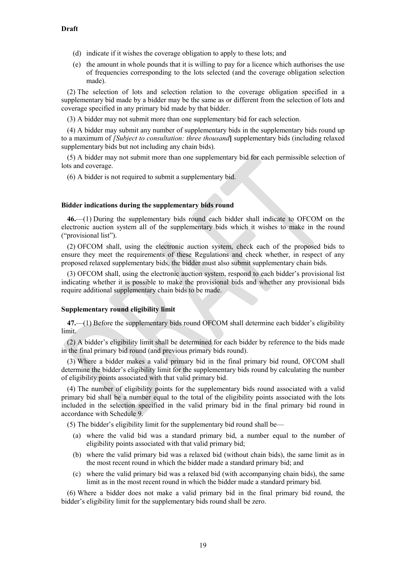- (d) indicate if it wishes the coverage obligation to apply to these lots; and
- (e) the amount in whole pounds that it is willing to pay for a licence which authorises the use of frequencies corresponding to the lots selected (and the coverage obligation selection made).

(2) The selection of lots and selection relation to the coverage obligation specified in a supplementary bid made by a bidder may be the same as or different from the selection of lots and coverage specified in any primary bid made by that bidder.

(3) A bidder may not submit more than one supplementary bid for each selection.

(4) A bidder may submit any number of supplementary bids in the supplementary bids round up to a maximum of *[Subject to consultation: three thousand***]** supplementary bids (including relaxed supplementary bids but not including any chain bids).

(5) A bidder may not submit more than one supplementary bid for each permissible selection of lots and coverage.

(6) A bidder is not required to submit a supplementary bid.

### **Bidder indications during the supplementary bids round**

**46.**—(1) During the supplementary bids round each bidder shall indicate to OFCOM on the electronic auction system all of the supplementary bids which it wishes to make in the round ("provisional list").

(2) OFCOM shall, using the electronic auction system, check each of the proposed bids to ensure they meet the requirements of these Regulations and check whether, in respect of any proposed relaxed supplementary bids, the bidder must also submit supplementary chain bids.

(3) OFCOM shall, using the electronic auction system, respond to each bidder's provisional list indicating whether it is possible to make the provisional bids and whether any provisional bids require additional supplementary chain bids to be made.

#### **Supplementary round eligibility limit**

**47.**—(1) Before the supplementary bids round OFCOM shall determine each bidder's eligibility limit.

(2) A bidder's eligibility limit shall be determined for each bidder by reference to the bids made in the final primary bid round (and previous primary bids round).

(3) Where a bidder makes a valid primary bid in the final primary bid round, OFCOM shall determine the bidder's eligibility limit for the supplementary bids round by calculating the number of eligibility points associated with that valid primary bid.

(4) The number of eligibility points for the supplementary bids round associated with a valid primary bid shall be a number equal to the total of the eligibility points associated with the lots included in the selection specified in the valid primary bid in the final primary bid round in accordance with Schedule 9.

(5) The bidder's eligibility limit for the supplementary bid round shall be—

- (a) where the valid bid was a standard primary bid, a number equal to the number of eligibility points associated with that valid primary bid;
- (b) where the valid primary bid was a relaxed bid (without chain bids), the same limit as in the most recent round in which the bidder made a standard primary bid; and
- (c) where the valid primary bid was a relaxed bid (with accompanying chain bids), the same limit as in the most recent round in which the bidder made a standard primary bid.

(6) Where a bidder does not make a valid primary bid in the final primary bid round, the bidder's eligibility limit for the supplementary bids round shall be zero.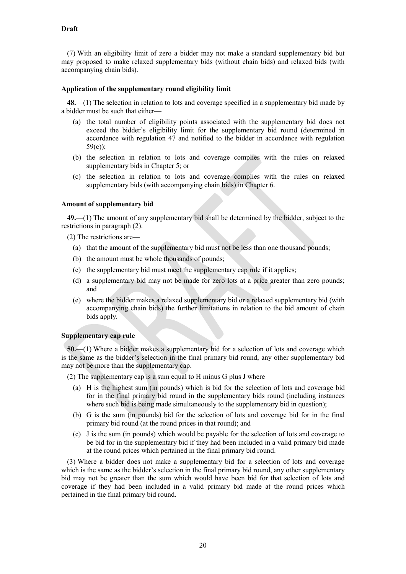(7) With an eligibility limit of zero a bidder may not make a standard supplementary bid but may proposed to make relaxed supplementary bids (without chain bids) and relaxed bids (with accompanying chain bids).

#### **Application of the supplementary round eligibility limit**

**48.**—(1) The selection in relation to lots and coverage specified in a supplementary bid made by a bidder must be such that either—

- (a) the total number of eligibility points associated with the supplementary bid does not exceed the bidder's eligibility limit for the supplementary bid round (determined in accordance with regulation 47 and notified to the bidder in accordance with regulation 59(c));
- (b) the selection in relation to lots and coverage complies with the rules on relaxed supplementary bids in Chapter 5; or
- (c) the selection in relation to lots and coverage complies with the rules on relaxed supplementary bids (with accompanying chain bids) in Chapter 6.

#### **Amount of supplementary bid**

**49.**—(1) The amount of any supplementary bid shall be determined by the bidder, subject to the restrictions in paragraph (2).

- (2) The restrictions are—
	- (a) that the amount of the supplementary bid must not be less than one thousand pounds;
	- (b) the amount must be whole thousands of pounds;
	- (c) the supplementary bid must meet the supplementary cap rule if it applies;
	- (d) a supplementary bid may not be made for zero lots at a price greater than zero pounds; and
	- (e) where the bidder makes a relaxed supplementary bid or a relaxed supplementary bid (with accompanying chain bids) the further limitations in relation to the bid amount of chain bids apply.

#### **Supplementary cap rule**

**50.**—(1) Where a bidder makes a supplementary bid for a selection of lots and coverage which is the same as the bidder's selection in the final primary bid round, any other supplementary bid may not be more than the supplementary cap.

- (2) The supplementary cap is a sum equal to H minus G plus J where—
	- (a) H is the highest sum (in pounds) which is bid for the selection of lots and coverage bid for in the final primary bid round in the supplementary bids round (including instances where such bid is being made simultaneously to the supplementary bid in question);
	- (b) G is the sum (in pounds) bid for the selection of lots and coverage bid for in the final primary bid round (at the round prices in that round); and
	- (c) J is the sum (in pounds) which would be payable for the selection of lots and coverage to be bid for in the supplementary bid if they had been included in a valid primary bid made at the round prices which pertained in the final primary bid round.

(3) Where a bidder does not make a supplementary bid for a selection of lots and coverage which is the same as the bidder's selection in the final primary bid round, any other supplementary bid may not be greater than the sum which would have been bid for that selection of lots and coverage if they had been included in a valid primary bid made at the round prices which pertained in the final primary bid round.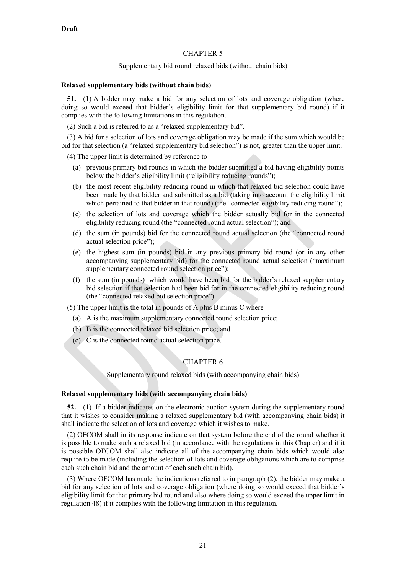## CHAPTER 5

#### Supplementary bid round relaxed bids (without chain bids)

#### **Relaxed supplementary bids (without chain bids)**

**51.**—(1) A bidder may make a bid for any selection of lots and coverage obligation (where doing so would exceed that bidder's eligibility limit for that supplementary bid round) if it complies with the following limitations in this regulation.

(2) Such a bid is referred to as a "relaxed supplementary bid".

(3) A bid for a selection of lots and coverage obligation may be made if the sum which would be bid for that selection (a "relaxed supplementary bid selection") is not, greater than the upper limit.

(4) The upper limit is determined by reference to—

- (a) previous primary bid rounds in which the bidder submitted a bid having eligibility points below the bidder's eligibility limit ("eligibility reducing rounds");
- (b) the most recent eligibility reducing round in which that relaxed bid selection could have been made by that bidder and submitted as a bid (taking into account the eligibility limit which pertained to that bidder in that round) (the "connected eligibility reducing round");
- (c) the selection of lots and coverage which the bidder actually bid for in the connected eligibility reducing round (the "connected round actual selection"); and
- (d) the sum (in pounds) bid for the connected round actual selection (the "connected round actual selection price");
- (e) the highest sum (in pounds) bid in any previous primary bid round (or in any other accompanying supplementary bid) for the connected round actual selection ("maximum supplementary connected round selection price");
- (f) the sum (in pounds) which would have been bid for the bidder's relaxed supplementary bid selection if that selection had been bid for in the connected eligibility reducing round (the "connected relaxed bid selection price").

(5) The upper limit is the total in pounds of A plus B minus C where—

- (a) A is the maximum supplementary connected round selection price;
- (b) B is the connected relaxed bid selection price; and
- (c) C is the connected round actual selection price.

## CHAPTER 6

Supplementary round relaxed bids (with accompanying chain bids)

#### **Relaxed supplementary bids (with accompanying chain bids)**

**52.**—(1) If a bidder indicates on the electronic auction system during the supplementary round that it wishes to consider making a relaxed supplementary bid (with accompanying chain bids) it shall indicate the selection of lots and coverage which it wishes to make.

(2) OFCOM shall in its response indicate on that system before the end of the round whether it is possible to make such a relaxed bid (in accordance with the regulations in this Chapter) and if it is possible OFCOM shall also indicate all of the accompanying chain bids which would also require to be made (including the selection of lots and coverage obligations which are to comprise each such chain bid and the amount of each such chain bid).

(3) Where OFCOM has made the indications referred to in paragraph (2), the bidder may make a bid for any selection of lots and coverage obligation (where doing so would exceed that bidder's eligibility limit for that primary bid round and also where doing so would exceed the upper limit in regulation 48) if it complies with the following limitation in this regulation.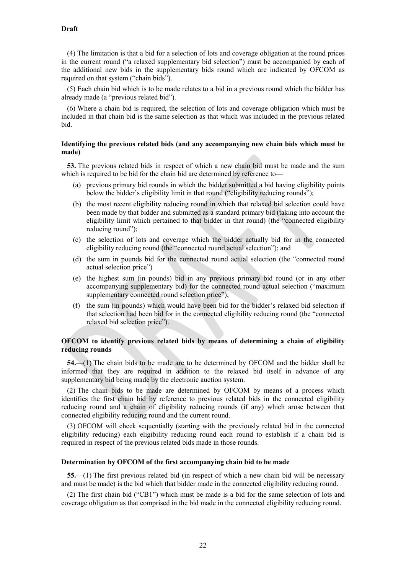(4) The limitation is that a bid for a selection of lots and coverage obligation at the round prices in the current round ("a relaxed supplementary bid selection") must be accompanied by each of the additional new bids in the supplementary bids round which are indicated by OFCOM as required on that system ("chain bids").

(5) Each chain bid which is to be made relates to a bid in a previous round which the bidder has already made (a "previous related bid").

(6) Where a chain bid is required, the selection of lots and coverage obligation which must be included in that chain bid is the same selection as that which was included in the previous related bid.

#### **Identifying the previous related bids (and any accompanying new chain bids which must be made)**

**53.** The previous related bids in respect of which a new chain bid must be made and the sum which is required to be bid for the chain bid are determined by reference to—

- (a) previous primary bid rounds in which the bidder submitted a bid having eligibility points below the bidder's eligibility limit in that round ("eligibility reducing rounds");
- (b) the most recent eligibility reducing round in which that relaxed bid selection could have been made by that bidder and submitted as a standard primary bid (taking into account the eligibility limit which pertained to that bidder in that round) (the "connected eligibility reducing round");
- (c) the selection of lots and coverage which the bidder actually bid for in the connected eligibility reducing round (the "connected round actual selection"); and
- (d) the sum in pounds bid for the connected round actual selection (the "connected round actual selection price")
- (e) the highest sum (in pounds) bid in any previous primary bid round (or in any other accompanying supplementary bid) for the connected round actual selection ("maximum supplementary connected round selection price");
- (f) the sum (in pounds) which would have been bid for the bidder's relaxed bid selection if that selection had been bid for in the connected eligibility reducing round (the "connected relaxed bid selection price").

#### **OFCOM to identify previous related bids by means of determining a chain of eligibility reducing rounds**

**54.**—(1) The chain bids to be made are to be determined by OFCOM and the bidder shall be informed that they are required in addition to the relaxed bid itself in advance of any supplementary bid being made by the electronic auction system.

(2) The chain bids to be made are determined by OFCOM by means of a process which identifies the first chain bid by reference to previous related bids in the connected eligibility reducing round and a chain of eligibility reducing rounds (if any) which arose between that connected eligibility reducing round and the current round.

(3) OFCOM will check sequentially (starting with the previously related bid in the connected eligibility reducing) each eligibility reducing round each round to establish if a chain bid is required in respect of the previous related bids made in those rounds.

#### **Determination by OFCOM of the first accompanying chain bid to be made**

**55.**—(1) The first previous related bid (in respect of which a new chain bid will be necessary and must be made) is the bid which that bidder made in the connected eligibility reducing round.

(2) The first chain bid ("CB1") which must be made is a bid for the same selection of lots and coverage obligation as that comprised in the bid made in the connected eligibility reducing round.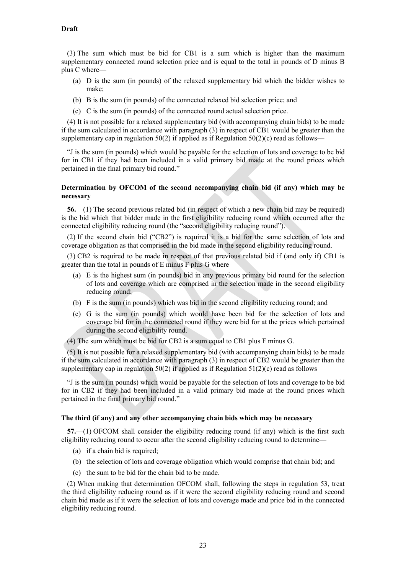(3) The sum which must be bid for CB1 is a sum which is higher than the maximum supplementary connected round selection price and is equal to the total in pounds of D minus B plus C where—

- (a) D is the sum (in pounds) of the relaxed supplementary bid which the bidder wishes to make;
- (b) B is the sum (in pounds) of the connected relaxed bid selection price; and
- (c) C is the sum (in pounds) of the connected round actual selection price.

(4) It is not possible for a relaxed supplementary bid (with accompanying chain bids) to be made if the sum calculated in accordance with paragraph (3) in respect of CB1 would be greater than the supplementary cap in regulation 50(2) if applied as if Regulation 50(2)(c) read as follows—

"J is the sum (in pounds) which would be payable for the selection of lots and coverage to be bid for in CB1 if they had been included in a valid primary bid made at the round prices which pertained in the final primary bid round."

#### **Determination by OFCOM of the second accompanying chain bid (if any) which may be necessary**

**56.**—(1) The second previous related bid (in respect of which a new chain bid may be required) is the bid which that bidder made in the first eligibility reducing round which occurred after the connected eligibility reducing round (the "second eligibility reducing round").

(2) If the second chain bid ("CB2") is required it is a bid for the same selection of lots and coverage obligation as that comprised in the bid made in the second eligibility reducing round.

(3) CB2 is required to be made in respect of that previous related bid if (and only if) CB1 is greater than the total in pounds of E minus F plus G where—

- (a) E is the highest sum (in pounds) bid in any previous primary bid round for the selection of lots and coverage which are comprised in the selection made in the second eligibility reducing round;
- (b) F is the sum (in pounds) which was bid in the second eligibility reducing round; and
- (c) G is the sum (in pounds) which would have been bid for the selection of lots and coverage bid for in the connected round if they were bid for at the prices which pertained during the second eligibility round.
- (4) The sum which must be bid for CB2 is a sum equal to CB1 plus F minus G.

(5) It is not possible for a relaxed supplementary bid (with accompanying chain bids) to be made if the sum calculated in accordance with paragraph (3) in respect of CB2 would be greater than the supplementary cap in regulation 50(2) if applied as if Regulation 51(2)(c) read as follows—

"J is the sum (in pounds) which would be payable for the selection of lots and coverage to be bid for in CB2 if they had been included in a valid primary bid made at the round prices which pertained in the final primary bid round."

#### **The third (if any) and any other accompanying chain bids which may be necessary**

**57.**—(1) OFCOM shall consider the eligibility reducing round (if any) which is the first such eligibility reducing round to occur after the second eligibility reducing round to determine—

- (a) if a chain bid is required;
- (b) the selection of lots and coverage obligation which would comprise that chain bid; and
- (c) the sum to be bid for the chain bid to be made.

(2) When making that determination OFCOM shall, following the steps in regulation 53, treat the third eligibility reducing round as if it were the second eligibility reducing round and second chain bid made as if it were the selection of lots and coverage made and price bid in the connected eligibility reducing round.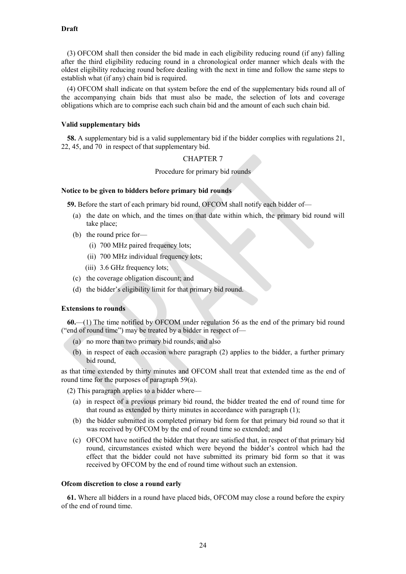(3) OFCOM shall then consider the bid made in each eligibility reducing round (if any) falling after the third eligibility reducing round in a chronological order manner which deals with the oldest eligibility reducing round before dealing with the next in time and follow the same steps to establish what (if any) chain bid is required.

(4) OFCOM shall indicate on that system before the end of the supplementary bids round all of the accompanying chain bids that must also be made, the selection of lots and coverage obligations which are to comprise each such chain bid and the amount of each such chain bid.

#### **Valid supplementary bids**

**58.** A supplementary bid is a valid supplementary bid if the bidder complies with regulations 21, 22, 45, and 70 in respect of that supplementary bid.

## CHAPTER 7

Procedure for primary bid rounds

## **Notice to be given to bidders before primary bid rounds**

<span id="page-23-1"></span>**59.** Before the start of each primary bid round, OFCOM shall notify each bidder of—

- (a) the date on which, and the times on that date within which, the primary bid round will take place;
- (b) the round price for—
	- (i) 700 MHz paired frequency lots;
	- (ii) 700 MHz individual frequency lots;
	- (iii) 3.6 GHz frequency lots;
- (c) the coverage obligation discount; and
- (d) the bidder's eligibility limit for that primary bid round.

#### **Extensions to rounds**

**60.**—(1) The time notified by OFCOM under regulation 56 as the end of the primary bid round ("end of round time") may be treated by a bidder in respect of—

- (a) no more than two primary bid rounds, and also
- (b) in respect of each occasion where paragraph [\(2\)](#page-23-0) applies to the bidder, a further primary bid round,

as that time extended by thirty minutes and OFCOM shall treat that extended time as the end of round time for the purposes of paragrap[h 59\(a\).](#page-23-1)

<span id="page-23-0"></span>(2) This paragraph applies to a bidder where—

- (a) in respect of a previous primary bid round, the bidder treated the end of round time for that round as extended by thirty minutes in accordance with paragraph (1);
- (b) the bidder submitted its completed primary bid form for that primary bid round so that it was received by OFCOM by the end of round time so extended; and
- (c) OFCOM have notified the bidder that they are satisfied that, in respect of that primary bid round, circumstances existed which were beyond the bidder's control which had the effect that the bidder could not have submitted its primary bid form so that it was received by OFCOM by the end of round time without such an extension.

#### **Ofcom discretion to close a round early**

**61.** Where all bidders in a round have placed bids, OFCOM may close a round before the expiry of the end of round time.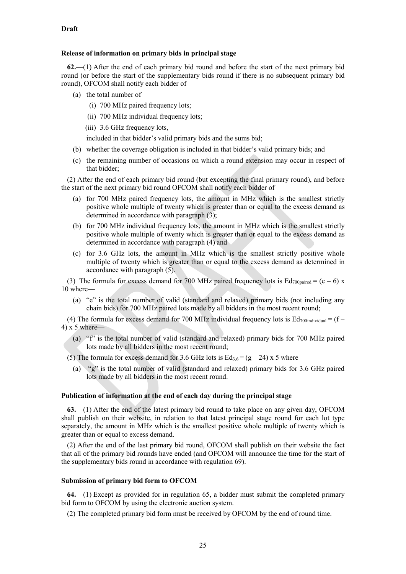#### **Release of information on primary bids in principal stage**

**62.**—(1) After the end of each primary bid round and before the start of the next primary bid round (or before the start of the supplementary bids round if there is no subsequent primary bid round), OFCOM shall notify each bidder of—

- (a) the total number of—
	- (i) 700 MHz paired frequency lots;
	- (ii) 700 MHz individual frequency lots;
	- (iii) 3.6 GHz frequency lots,

included in that bidder's valid primary bids and the sums bid;

- (b) whether the coverage obligation is included in that bidder's valid primary bids; and
- (c) the remaining number of occasions on which a round extension may occur in respect of that bidder;

(2) After the end of each primary bid round (but excepting the final primary round), and before the start of the next primary bid round OFCOM shall notify each bidder of—

- (a) for 700 MHz paired frequency lots, the amount in MHz which is the smallest strictly positive whole multiple of twenty which is greater than or equal to the excess demand as determined in accordance with paragraph (3);
- (b) for 700 MHz individual frequency lots, the amount in MHz which is the smallest strictly positive whole multiple of twenty which is greater than or equal to the excess demand as determined in accordance with paragraph (4) and
- (c) for 3.6 GHz lots, the amount in MHz which is the smallest strictly positive whole multiple of twenty which is greater than or equal to the excess demand as determined in accordance with paragraph (5).

(3) The formula for excess demand for 700 MHz paired frequency lots is  $Ed_{700\text{paired}} = (e - 6) \times$ 10 where—

(a) "e" is the total number of valid (standard and relaxed) primary bids (not including any chain bids) for 700 MHz paired lots made by all bidders in the most recent round;

(4) The formula for excess demand for 700 MHz individual frequency lots is  $Ed_{700individual} = (f -$ 4) x 5 where—

(a) "f" is the total number of valid (standard and relaxed) primary bids for 700 MHz paired lots made by all bidders in the most recent round;

(5) The formula for excess demand for 3.6 GHz lots is  $Ed_{3.6} = (g - 24) \times 5$  where—

(a) "g" is the total number of valid (standard and relaxed) primary bids for 3.6 GHz paired lots made by all bidders in the most recent round.

## **Publication of information at the end of each day during the principal stage**

**63.**—(1) After the end of the latest primary bid round to take place on any given day, OFCOM shall publish on their website, in relation to that latest principal stage round for each lot type separately, the amount in MHz which is the smallest positive whole multiple of twenty which is greater than or equal to excess demand.

(2) After the end of the last primary bid round, OFCOM shall publish on their website the fact that all of the primary bid rounds have ended (and OFCOM will announce the time for the start of the supplementary bids round in accordance with regulation 69).

#### **Submission of primary bid form to OFCOM**

**64.**—(1) Except as provided for in regulation 65, a bidder must submit the completed primary bid form to OFCOM by using the electronic auction system.

(2) The completed primary bid form must be received by OFCOM by the end of round time.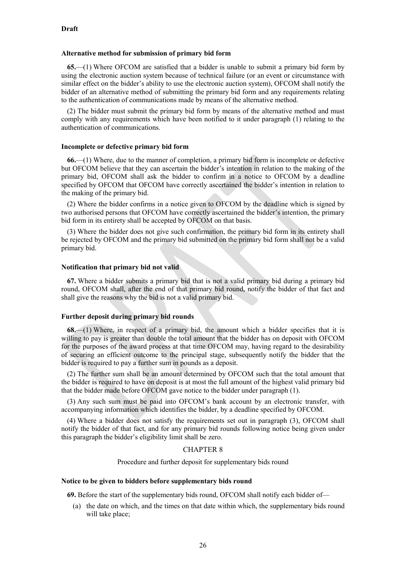#### **Alternative method for submission of primary bid form**

**65.**—(1) Where OFCOM are satisfied that a bidder is unable to submit a primary bid form by using the electronic auction system because of technical failure (or an event or circumstance with similar effect on the bidder's ability to use the electronic auction system), OFCOM shall notify the bidder of an alternative method of submitting the primary bid form and any requirements relating to the authentication of communications made by means of the alternative method.

(2) The bidder must submit the primary bid form by means of the alternative method and must comply with any requirements which have been notified to it under paragraph (1) relating to the authentication of communications.

#### **Incomplete or defective primary bid form**

**66.**—(1) Where, due to the manner of completion, a primary bid form is incomplete or defective but OFCOM believe that they can ascertain the bidder's intention in relation to the making of the primary bid, OFCOM shall ask the bidder to confirm in a notice to OFCOM by a deadline specified by OFCOM that OFCOM have correctly ascertained the bidder's intention in relation to the making of the primary bid.

(2) Where the bidder confirms in a notice given to OFCOM by the deadline which is signed by two authorised persons that OFCOM have correctly ascertained the bidder's intention, the primary bid form in its entirety shall be accepted by OFCOM on that basis.

(3) Where the bidder does not give such confirmation, the primary bid form in its entirety shall be rejected by OFCOM and the primary bid submitted on the primary bid form shall not be a valid primary bid.

#### **Notification that primary bid not valid**

**67.** Where a bidder submits a primary bid that is not a valid primary bid during a primary bid round, OFCOM shall, after the end of that primary bid round, notify the bidder of that fact and shall give the reasons why the bid is not a valid primary bid.

#### **Further deposit during primary bid rounds**

<span id="page-25-0"></span>**68.**—(1) Where, in respect of a primary bid, the amount which a bidder specifies that it is willing to pay is greater than double the total amount that the bidder has on deposit with OFCOM for the purposes of the award process at that time OFCOM may, having regard to the desirability of securing an efficient outcome to the principal stage, subsequently notify the bidder that the bidder is required to pay a further sum in pounds as a deposit.

(2) The further sum shall be an amount determined by OFCOM such that the total amount that the bidder is required to have on deposit is at most the full amount of the highest valid primary bid that the bidder made before OFCOM gave notice to the bidder under paragraph (1).

(3) Any such sum must be paid into OFCOM's bank account by an electronic transfer, with accompanying information which identifies the bidder, by a deadline specified by OFCOM.

(4) Where a bidder does not satisfy the requirements set out in paragraph (3), OFCOM shall notify the bidder of that fact, and for any primary bid rounds following notice being given under this paragraph the bidder's eligibility limit shall be zero.

#### CHAPTER 8

Procedure and further deposit for supplementary bids round

#### **Notice to be given to bidders before supplementary bids round**

**69.** Before the start of the supplementary bids round, OFCOM shall notify each bidder of—

(a) the date on which, and the times on that date within which, the supplementary bids round will take place;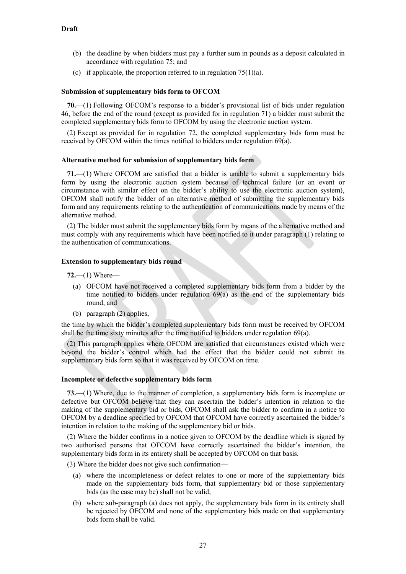- (b) the deadline by when bidders must pay a further sum in pounds as a deposit calculated in accordance with regulation 75; and
- (c) if applicable, the proportion referred to in regulation  $75(1)(a)$ .

#### **Submission of supplementary bids form to OFCOM**

**70.**—(1) Following OFCOM's response to a bidder's provisional list of bids under regulation 46, before the end of the round (except as provided for in regulation 71) a bidder must submit the completed supplementary bids form to OFCOM by using the electronic auction system.

(2) Except as provided for in regulation 72, the completed supplementary bids form must be received by OFCOM within the times notified to bidders under regulation 69(a).

#### **Alternative method for submission of supplementary bids form**

**71.**—(1) Where OFCOM are satisfied that a bidder is unable to submit a supplementary bids form by using the electronic auction system because of technical failure (or an event or circumstance with similar effect on the bidder's ability to use the electronic auction system), OFCOM shall notify the bidder of an alternative method of submitting the supplementary bids form and any requirements relating to the authentication of communications made by means of the alternative method.

(2) The bidder must submit the supplementary bids form by means of the alternative method and must comply with any requirements which have been notified to it under paragraph (1) relating to the authentication of communications.

#### **Extension to supplementary bids round**

**72.**—(1) Where—

- (a) OFCOM have not received a completed supplementary bids form from a bidder by the time notified to bidders under regulation  $69(a)$  as the end of the supplementary bids round, and
- (b) paragraph (2) applies,

the time by which the bidder's completed supplementary bids form must be received by OFCOM shall be the time sixty minutes after the time notified to bidders under regulation 69(a).

(2) This paragraph applies where OFCOM are satisfied that circumstances existed which were beyond the bidder's control which had the effect that the bidder could not submit its supplementary bids form so that it was received by OFCOM on time.

#### **Incomplete or defective supplementary bids form**

**73.**—(1) Where, due to the manner of completion, a supplementary bids form is incomplete or defective but OFCOM believe that they can ascertain the bidder's intention in relation to the making of the supplementary bid or bids, OFCOM shall ask the bidder to confirm in a notice to OFCOM by a deadline specified by OFCOM that OFCOM have correctly ascertained the bidder's intention in relation to the making of the supplementary bid or bids.

(2) Where the bidder confirms in a notice given to OFCOM by the deadline which is signed by two authorised persons that OFCOM have correctly ascertained the bidder's intention, the supplementary bids form in its entirety shall be accepted by OFCOM on that basis.

(3) Where the bidder does not give such confirmation—

- (a) where the incompleteness or defect relates to one or more of the supplementary bids made on the supplementary bids form, that supplementary bid or those supplementary bids (as the case may be) shall not be valid;
- (b) where sub-paragraph (a) does not apply, the supplementary bids form in its entirety shall be rejected by OFCOM and none of the supplementary bids made on that supplementary bids form shall be valid.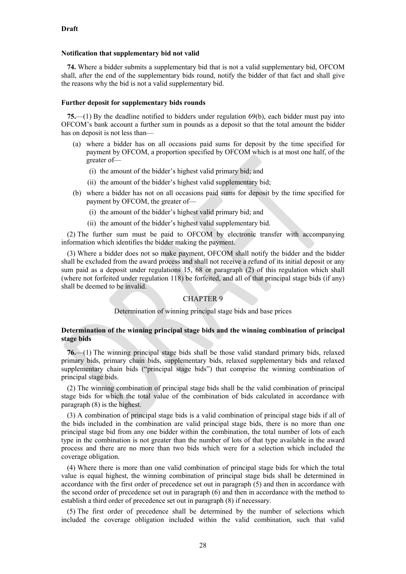#### **Notification that supplementary bid not valid**

**74.** Where a bidder submits a supplementary bid that is not a valid supplementary bid, OFCOM shall, after the end of the supplementary bids round, notify the bidder of that fact and shall give the reasons why the bid is not a valid supplementary bid.

#### **Further deposit for supplementary bids rounds**

<span id="page-27-1"></span>**75.**—(1) By the deadline notified to bidders under regulation 69(b), each bidder must pay into OFCOM's bank account a further sum in pounds as a deposit so that the total amount the bidder has on deposit is not less than—

- <span id="page-27-0"></span>(a) where a bidder has on all occasions paid sums for deposit by the time specified for payment by OFCOM, a proportion specified by OFCOM which is at most one half, of the greater of—
	- (i) the amount of the bidder's highest valid primary bid; and
	- (ii) the amount of the bidder's highest valid supplementary bid;
- (b) where a bidder has not on all occasions paid sums for deposit by the time specified for payment by OFCOM, the greater of—
	- (i) the amount of the bidder's highest valid primary bid; and
	- (ii) the amount of the bidder's highest valid supplementary bid.

(2) The further sum must be paid to OFCOM by electronic transfer with accompanying information which identifies the bidder making the payment.

(3) Where a bidder does not so make payment, OFCOM shall notify the bidder and the bidder shall be excluded from the award process and shall not receive a refund of its initial deposit or any sum paid as a deposit under regulations 15, 68 or paragraph (2) of this regulation which shall (where not forfeited under regulation 118) be forfeited, and all of that principal stage bids (if any) shall be deemed to be invalid.

#### CHAPTER 9

Determination of winning principal stage bids and base prices

### **Determination of the winning principal stage bids and the winning combination of principal stage bids**

**76.**—(1) The winning principal stage bids shall be those valid standard primary bids, relaxed primary bids, primary chain bids, supplementary bids, relaxed supplementary bids and relaxed supplementary chain bids ("principal stage bids") that comprise the winning combination of principal stage bids.

(2) The winning combination of principal stage bids shall be the valid combination of principal stage bids for which the total value of the combination of bids calculated in accordance with paragraph (8) is the highest.

(3) A combination of principal stage bids is a valid combination of principal stage bids if all of the bids included in the combination are valid principal stage bids, there is no more than one principal stage bid from any one bidder within the combination, the total number of lots of each type in the combination is not greater than the number of lots of that type available in the award process and there are no more than two bids which were for a selection which included the coverage obligation.

(4) Where there is more than one valid combination of principal stage bids for which the total value is equal highest, the winning combination of principal stage bids shall be determined in accordance with the first order of precedence set out in paragraph (5) and then in accordance with the second order of precedence set out in paragraph (6) and then in accordance with the method to establish a third order of precedence set out in paragraph (8) if necessary.

(5) The first order of precedence shall be determined by the number of selections which included the coverage obligation included within the valid combination, such that valid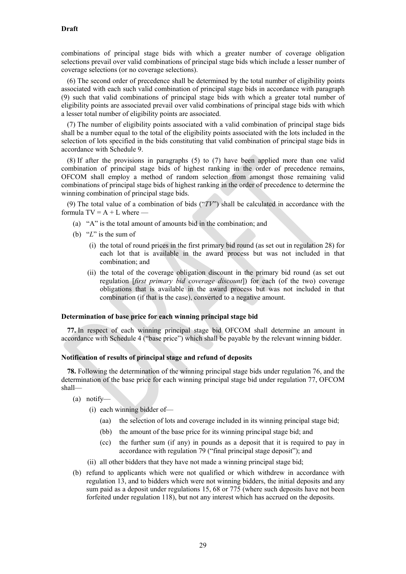combinations of principal stage bids with which a greater number of coverage obligation selections prevail over valid combinations of principal stage bids which include a lesser number of coverage selections (or no coverage selections).

(6) The second order of precedence shall be determined by the total number of eligibility points associated with each such valid combination of principal stage bids in accordance with paragraph [\(9\)](#page-28-0) such that valid combinations of principal stage bids with which a greater total number of eligibility points are associated prevail over valid combinations of principal stage bids with which a lesser total number of eligibility points are associated.

(7) The number of eligibility points associated with a valid combination of principal stage bids shall be a number equal to the total of the eligibility points associated with the lots included in the selection of lots specified in the bids constituting that valid combination of principal stage bids in accordance with Schedule 9.

(8) If after the provisions in paragraphs (5) to (7) have been applied more than one valid combination of principal stage bids of highest ranking in the order of precedence remains, OFCOM shall employ a method of random selection from amongst those remaining valid combinations of principal stage bids of highest ranking in the order of precedence to determine the winning combination of principal stage bids.

<span id="page-28-0"></span>(9) The total value of a combination of bids ("*TV*") shall be calculated in accordance with the formula  $TV = A + L$  where —

- (a) "A" is the total amount of amounts bid in the combination; and
- (b) "*L*" is the sum of
	- (i) the total of round prices in the first primary bid round (as set out in regulation 28) for each lot that is available in the award process but was not included in that combination; and
	- (ii) the total of the coverage obligation discount in the primary bid round (as set out regulation [*first primary bid coverage discount*]) for each (of the two) coverage obligations that is available in the award process but was not included in that combination (if that is the case), converted to a negative amount.

### **Determination of base price for each winning principal stage bid**

<span id="page-28-1"></span>**77.** In respect of each winning principal stage bid OFCOM shall determine an amount in accordance with Schedule 4 ("base price") which shall be payable by the relevant winning bidder.

#### **Notification of results of principal stage and refund of deposits**

**78.** Following the determination of the winning principal stage bids under regulation 76, and the determination of the base price for each winning principal stage bid under regulation 77, OFCOM shall—

- (a) notify—
	- (i) each winning bidder of—
		- (aa) the selection of lots and coverage included in its winning principal stage bid;
		- (bb) the amount of the base price for its winning principal stage bid; and
		- (cc) the further sum (if any) in pounds as a deposit that it is required to pay in accordance with regulation 79 ("final principal stage deposit"); and
	- (ii) all other bidders that they have not made a winning principal stage bid;
- (b) refund to applicants which were not qualified or which withdrew in accordance with regulation 13, and to bidders which were not winning bidders, the initial deposits and any sum paid as a deposit under regulations 15, 68 or 775 (where such deposits have not been forfeited under regulation 118), but not any interest which has accrued on the deposits.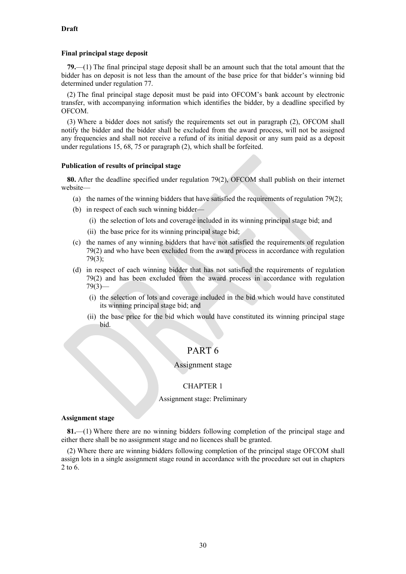## **Final principal stage deposit**

**79.**—(1) The final principal stage deposit shall be an amount such that the total amount that the bidder has on deposit is not less than the amount of the base price for that bidder's winning bid determined under regulation [77.](#page-28-1)

<span id="page-29-0"></span>(2) The final principal stage deposit must be paid into OFCOM's bank account by electronic transfer, with accompanying information which identifies the bidder, by a deadline specified by OFCOM.

<span id="page-29-1"></span>(3) Where a bidder does not satisfy the requirements set out in paragraph [\(2\),](#page-29-0) OFCOM shall notify the bidder and the bidder shall be excluded from the award process, will not be assigned any frequencies and shall not receive a refund of its initial deposit or any sum paid as a deposit under regulations 15, [68,](#page-25-0) [75](#page-27-1) or paragraph [\(2\),](#page-29-0) which shall be forfeited.

## **Publication of results of principal stage**

**80.** After the deadline specified under regulation [79\(2\),](#page-29-0) OFCOM shall publish on their internet website—

- (a) the names of the winning bidders that have satisfied the requirements of regulation [79\(2\);](#page-29-0)
- (b) in respect of each such winning bidder—
	- (i) the selection of lots and coverage included in its winning principal stage bid; and
	- (ii) the base price for its winning principal stage bid;
- (c) the names of any winning bidders that have not satisfied the requirements of regulation [79\(2\)](#page-29-0) and who have been excluded from the award process in accordance with regulation [79\(3\);](#page-29-1)
- (d) in respect of each winning bidder that has not satisfied the requirements of regulation [79\(2\)](#page-29-0) and has been excluded from the award process in accordance with regulation  $79(3)$ —
	- (i) the selection of lots and coverage included in the bid which would have constituted its winning principal stage bid; and
	- (ii) the base price for the bid which would have constituted its winning principal stage bid.

## PART 6

## Assignment stage

## CHAPTER 1

#### Assignment stage: Preliminary

#### **Assignment stage**

**81.**—(1) Where there are no winning bidders following completion of the principal stage and either there shall be no assignment stage and no licences shall be granted.

(2) Where there are winning bidders following completion of the principal stage OFCOM shall assign lots in a single assignment stage round in accordance with the procedure set out in chapters 2 to 6.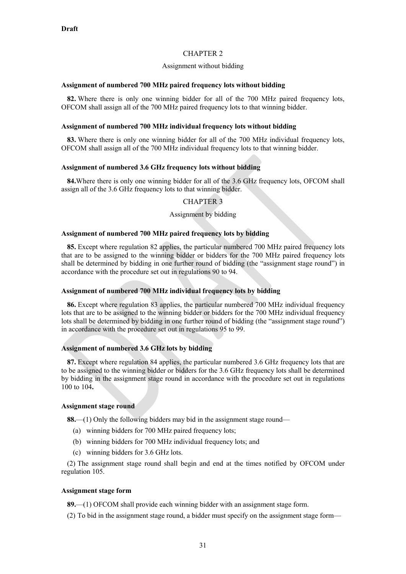## CHAPTER 2

#### Assignment without bidding

### **Assignment of numbered 700 MHz paired frequency lots without bidding**

<span id="page-30-0"></span>**82.** Where there is only one winning bidder for all of the 700 MHz paired frequency lots, OFCOM shall assign all of the 700 MHz paired frequency lots to that winning bidder.

### **Assignment of numbered 700 MHz individual frequency lots without bidding**

**83.** Where there is only one winning bidder for all of the 700 MHz individual frequency lots, OFCOM shall assign all of the 700 MHz individual frequency lots to that winning bidder.

## **Assignment of numbered 3.6 GHz frequency lots without bidding**

**84.**Where there is only one winning bidder for all of the 3.6 GHz frequency lots, OFCOM shall assign all of the 3.6 GHz frequency lots to that winning bidder.

## CHAPTER 3

#### Assignment by bidding

#### **Assignment of numbered 700 MHz paired frequency lots by bidding**

**85.** Except where regulation [82](#page-30-0) applies, the particular numbered 700 MHz paired frequency lots that are to be assigned to the winning bidder or bidders for the 700 MHz paired frequency lots shall be determined by bidding in one further round of bidding (the "assignment stage round") in accordance with the procedure set out in regulations 90 to 94.

### **Assignment of numbered 700 MHz individual frequency lots by bidding**

**86.** Except where regulation 83 applies, the particular numbered 700 MHz individual frequency lots that are to be assigned to the winning bidder or bidders for the 700 MHz individual frequency lots shall be determined by bidding in one further round of bidding (the "assignment stage round") in accordance with the procedure set out in regulations 95 to [99.](#page-34-0)

#### **Assignment of numbered 3.6 GHz lots by bidding**

**87.** Except where regulation 84 applies, the particular numbered 3.6 GHz frequency lots that are to be assigned to the winning bidder or bidders for the 3.6 GHz frequency lots shall be determined by bidding in the assignment stage round in accordance with the procedure set out in regulations 100 to 104**.**

### **Assignment stage round**

**88.**—(1) Only the following bidders may bid in the assignment stage round—

- (a) winning bidders for 700 MHz paired frequency lots;
- (b) winning bidders for 700 MHz individual frequency lots; and
- (c) winning bidders for 3.6 GHz lots.

(2) The assignment stage round shall begin and end at the times notified by OFCOM under regulation [105.](#page-36-0)

#### **Assignment stage form**

**89.**—(1) OFCOM shall provide each winning bidder with an assignment stage form.

(2) To bid in the assignment stage round, a bidder must specify on the assignment stage form—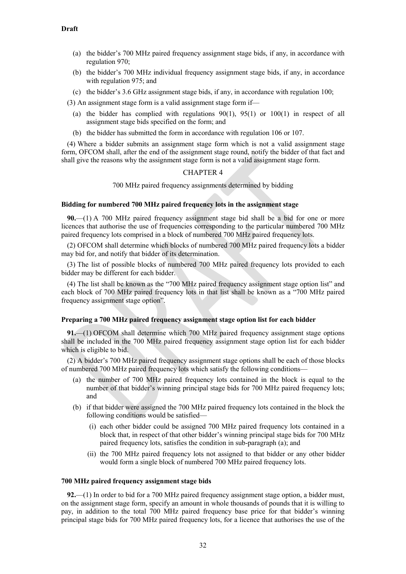- (a) the bidder's 700 MHz paired frequency assignment stage bids, if any, in accordance with regulation [970](#page-33-0);
- (b) the bidder's 700 MHz individual frequency assignment stage bids, if any, in accordance with regulation [975](#page-33-0); and
- (c) the bidder's 3.6 GHz assignment stage bids, if any, in accordance with regulation 100;

(3) An assignment stage form is a valid assignment stage form if—

- (a) the bidder has complied with regulations  $90(1)$ ,  $95(1)$  or  $100(1)$  in respect of all assignment stage bids specified on the form; and
- (b) the bidder has submitted the form in accordance with regulation [106](#page-36-1) o[r 107.](#page-36-2)

(4) Where a bidder submits an assignment stage form which is not a valid assignment stage form, OFCOM shall, after the end of the assignment stage round, notify the bidder of that fact and shall give the reasons why the assignment stage form is not a valid assignment stage form.

#### CHAPTER 4

#### 700 MHz paired frequency assignments determined by bidding

### **Bidding for numbered 700 MHz paired frequency lots in the assignment stage**

**90.**—(1) A 700 MHz paired frequency assignment stage bid shall be a bid for one or more licences that authorise the use of frequencies corresponding to the particular numbered 700 MHz paired frequency lots comprised in a block of numbered 700 MHz paired frequency lots.

(2) OFCOM shall determine which blocks of numbered 700 MHz paired frequency lots a bidder may bid for, and notify that bidder of its determination.

(3) The list of possible blocks of numbered 700 MHz paired frequency lots provided to each bidder may be different for each bidder.

(4) The list shall be known as the "700 MHz paired frequency assignment stage option list" and each block of 700 MHz paired frequency lots in that list shall be known as a "700 MHz paired frequency assignment stage option".

#### **Preparing a 700 MHz paired frequency assignment stage option list for each bidder**

**91.**—(1) OFCOM shall determine which 700 MHz paired frequency assignment stage options shall be included in the 700 MHz paired frequency assignment stage option list for each bidder which is eligible to bid.

(2) A bidder's 700 MHz paired frequency assignment stage options shall be each of those blocks of numbered 700 MHz paired frequency lots which satisfy the following conditions—

- (a) the number of 700 MHz paired frequency lots contained in the block is equal to the number of that bidder's winning principal stage bids for 700 MHz paired frequency lots; and
- (b) if that bidder were assigned the 700 MHz paired frequency lots contained in the block the following conditions would be satisfied—
	- (i) each other bidder could be assigned 700 MHz paired frequency lots contained in a block that, in respect of that other bidder's winning principal stage bids for 700 MHz paired frequency lots, satisfies the condition in sub-paragraph (a); and
	- (ii) the 700 MHz paired frequency lots not assigned to that bidder or any other bidder would form a single block of numbered 700 MHz paired frequency lots.

#### **700 MHz paired frequency assignment stage bids**

**92.**—(1) In order to bid for a 700 MHz paired frequency assignment stage option, a bidder must, on the assignment stage form, specify an amount in whole thousands of pounds that it is willing to pay, in addition to the total 700 MHz paired frequency base price for that bidder's winning principal stage bids for 700 MHz paired frequency lots, for a licence that authorises the use of the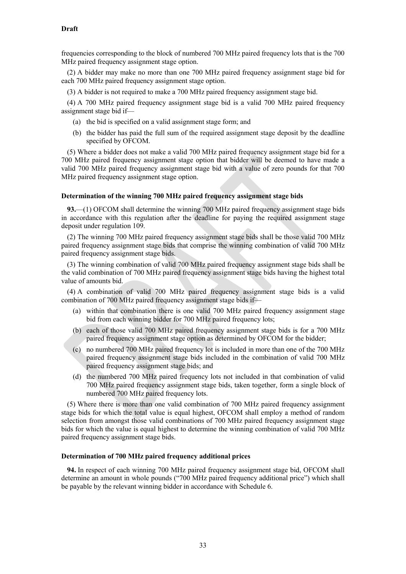frequencies corresponding to the block of numbered 700 MHz paired frequency lots that is the 700 MHz paired frequency assignment stage option.

(2) A bidder may make no more than one 700 MHz paired frequency assignment stage bid for each 700 MHz paired frequency assignment stage option.

(3) A bidder is not required to make a 700 MHz paired frequency assignment stage bid.

(4) A 700 MHz paired frequency assignment stage bid is a valid 700 MHz paired frequency assignment stage bid if—

- (a) the bid is specified on a valid assignment stage form; and
- (b) the bidder has paid the full sum of the required assignment stage deposit by the deadline specified by OFCOM.

(5) Where a bidder does not make a valid 700 MHz paired frequency assignment stage bid for a 700 MHz paired frequency assignment stage option that bidder will be deemed to have made a valid 700 MHz paired frequency assignment stage bid with a value of zero pounds for that 700 MHz paired frequency assignment stage option.

#### **Determination of the winning 700 MHz paired frequency assignment stage bids**

**93.**—(1) OFCOM shall determine the winning 700 MHz paired frequency assignment stage bids in accordance with this regulation after the deadline for paying the required assignment stage deposit under regulatio[n 109.](#page-37-0)

(2) The winning 700 MHz paired frequency assignment stage bids shall be those valid 700 MHz paired frequency assignment stage bids that comprise the winning combination of valid 700 MHz paired frequency assignment stage bids.

(3) The winning combination of valid 700 MHz paired frequency assignment stage bids shall be the valid combination of 700 MHz paired frequency assignment stage bids having the highest total value of amounts bid.

(4) A combination of valid 700 MHz paired frequency assignment stage bids is a valid combination of 700 MHz paired frequency assignment stage bids if—

- (a) within that combination there is one valid 700 MHz paired frequency assignment stage bid from each winning bidder for 700 MHz paired frequency lots;
- (b) each of those valid 700 MHz paired frequency assignment stage bids is for a 700 MHz paired frequency assignment stage option as determined by OFCOM for the bidder;
- (c) no numbered 700 MHz paired frequency lot is included in more than one of the 700 MHz paired frequency assignment stage bids included in the combination of valid 700 MHz paired frequency assignment stage bids; and
- (d) the numbered 700 MHz paired frequency lots not included in that combination of valid 700 MHz paired frequency assignment stage bids, taken together, form a single block of numbered 700 MHz paired frequency lots.

(5) Where there is more than one valid combination of 700 MHz paired frequency assignment stage bids for which the total value is equal highest, OFCOM shall employ a method of random selection from amongst those valid combinations of 700 MHz paired frequency assignment stage bids for which the value is equal highest to determine the winning combination of valid 700 MHz paired frequency assignment stage bids.

#### **Determination of 700 MHz paired frequency additional prices**

**94.** In respect of each winning 700 MHz paired frequency assignment stage bid, OFCOM shall determine an amount in whole pounds ("700 MHz paired frequency additional price") which shall be payable by the relevant winning bidder in accordance with Schedule 6.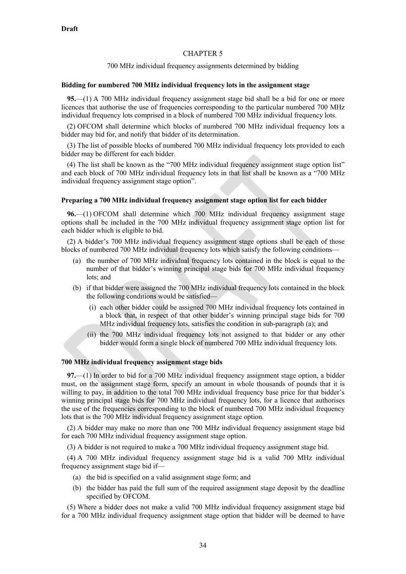#### CHAPTER 5

700 MHz individual frequency assignments determined by bidding

#### **Bidding for numbered 700 MHz individual frequency lots in the assignment stage**

**95.**—(1) A 700 MHz individual frequency assignment stage bid shall be a bid for one or more licences that authorise the use of frequencies corresponding to the particular numbered 700 MHz individual frequency lots comprised in a block of numbered 700 MHz individual frequency lots.

(2) OFCOM shall determine which blocks of numbered 700 MHz individual frequency lots a bidder may bid for, and notify that bidder of its determination.

(3) The list of possible blocks of numbered 700 MHz individual frequency lots provided to each bidder may be different for each bidder.

(4) The list shall be known as the "700 MHz individual frequency assignment stage option list" and each block of 700 MHz individual frequency lots in that list shall be known as a "700 MHz individual frequency assignment stage option".

#### **Preparing a 700 MHz individual frequency assignment stage option list for each bidder**

**96.**—(1) OFCOM shall determine which 700 MHz individual frequency assignment stage options shall be included in the 700 MHz individual frequency assignment stage option list for each bidder which is eligible to bid.

(2) A bidder's 700 MHz individual frequency assignment stage options shall be each of those blocks of numbered 700 MHz individual frequency lots which satisfy the following conditions—

- (a) the number of 700 MHz individual frequency lots contained in the block is equal to the number of that bidder's winning principal stage bids for 700 MHz individual frequency lots; and
- (b) if that bidder were assigned the 700 MHz individual frequency lots contained in the block the following conditions would be satisfied—
	- (i) each other bidder could be assigned 700 MHz individual frequency lots contained in a block that, in respect of that other bidder's winning principal stage bids for 700 MHz individual frequency lots, satisfies the condition in sub-paragraph (a); and
	- (ii) the 700 MHz individual frequency lots not assigned to that bidder or any other bidder would form a single block of numbered 700 MHz individual frequency lots.

## **700 MHz individual frequency assignment stage bids**

<span id="page-33-0"></span>**97.**—(1) In order to bid for a 700 MHz individual frequency assignment stage option, a bidder must, on the assignment stage form, specify an amount in whole thousands of pounds that it is willing to pay, in addition to the total 700 MHz individual frequency base price for that bidder's winning principal stage bids for 700 MHz individual frequency lots, for a licence that authorises the use of the frequencies corresponding to the block of numbered 700 MHz individual frequency lots that is the 700 MHz individual frequency assignment stage option.

(2) A bidder may make no more than one 700 MHz individual frequency assignment stage bid for each 700 MHz individual frequency assignment stage option.

(3) A bidder is not required to make a 700 MHz individual frequency assignment stage bid.

(4) A 700 MHz individual frequency assignment stage bid is a valid 700 MHz individual frequency assignment stage bid if—

- (a) the bid is specified on a valid assignment stage form; and
- (b) the bidder has paid the full sum of the required assignment stage deposit by the deadline specified by OFCOM.

(5) Where a bidder does not make a valid 700 MHz individual frequency assignment stage bid for a 700 MHz individual frequency assignment stage option that bidder will be deemed to have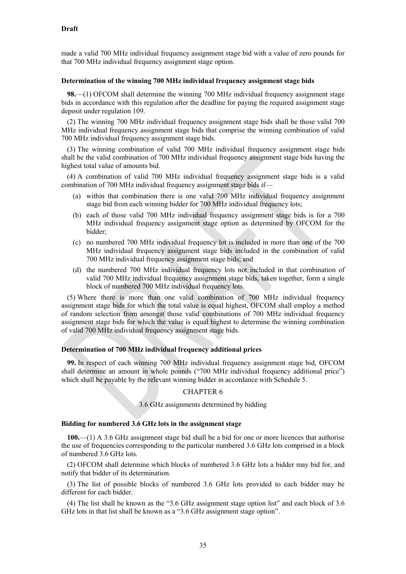made a valid 700 MHz individual frequency assignment stage bid with a value of zero pounds for that 700 MHz individual frequency assignment stage option.

#### **Determination of the winning 700 MHz individual frequency assignment stage bids**

**98.**—(1) OFCOM shall determine the winning 700 MHz individual frequency assignment stage bids in accordance with this regulation after the deadline for paying the required assignment stage deposit under regulatio[n 109.](#page-37-0)

(2) The winning 700 MHz individual frequency assignment stage bids shall be those valid 700 MHz individual frequency assignment stage bids that comprise the winning combination of valid 700 MHz individual frequency assignment stage bids.

(3) The winning combination of valid 700 MHz individual frequency assignment stage bids shall be the valid combination of 700 MHz individual frequency assignment stage bids having the highest total value of amounts bid.

(4) A combination of valid 700 MHz individual frequency assignment stage bids is a valid combination of 700 MHz individual frequency assignment stage bids if—

- (a) within that combination there is one valid 700 MHz individual frequency assignment stage bid from each winning bidder for 700 MHz individual frequency lots;
- (b) each of those valid 700 MHz individual frequency assignment stage bids is for a 700 MHz individual frequency assignment stage option as determined by OFCOM for the bidder;
- (c) no numbered 700 MHz individual frequency lot is included in more than one of the 700 MHz individual frequency assignment stage bids included in the combination of valid 700 MHz individual frequency assignment stage bids; and
- (d) the numbered 700 MHz individual frequency lots not included in that combination of valid 700 MHz individual frequency assignment stage bids, taken together, form a single block of numbered 700 MHz individual frequency lots.

(5) Where there is more than one valid combination of 700 MHz individual frequency assignment stage bids for which the total value is equal highest, OFCOM shall employ a method of random selection from amongst those valid combinations of 700 MHz individual frequency assignment stage bids for which the value is equal highest to determine the winning combination of valid 700 MHz individual frequency assignment stage bids.

#### **Determination of 700 MHz individual frequency additional prices**

<span id="page-34-0"></span>**99.** In respect of each winning 700 MHz individual frequency assignment stage bid, OFCOM shall determine an amount in whole pounds ("700 MHz individual frequency additional price") which shall be payable by the relevant winning bidder in accordance with Schedule 5.

#### CHAPTER 6

3.6 GHz assignments determined by bidding

## **Bidding for numbered 3.6 GHz lots in the assignment stage**

**100.**—(1) A 3.6 GHz assignment stage bid shall be a bid for one or more licences that authorise the use of frequencies corresponding to the particular numbered 3.6 GHz lots comprised in a block of numbered 3.6 GHz lots.

(2) OFCOM shall determine which blocks of numbered 3.6 GHz lots a bidder may bid for, and notify that bidder of its determination.

(3) The list of possible blocks of numbered 3.6 GHz lots provided to each bidder may be different for each bidder.

(4) The list shall be known as the "3.6 GHz assignment stage option list" and each block of 3.6 GHz lots in that list shall be known as a "3.6 GHz assignment stage option".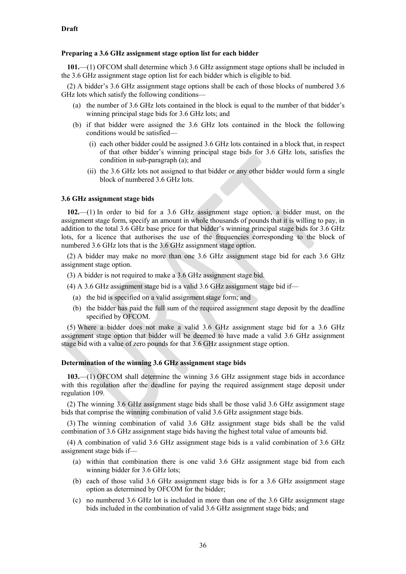#### **Preparing a 3.6 GHz assignment stage option list for each bidder**

**101.**—(1) OFCOM shall determine which 3.6 GHz assignment stage options shall be included in the 3.6 GHz assignment stage option list for each bidder which is eligible to bid.

(2) A bidder's 3.6 GHz assignment stage options shall be each of those blocks of numbered 3.6 GHz lots which satisfy the following conditions—

- (a) the number of 3.6 GHz lots contained in the block is equal to the number of that bidder's winning principal stage bids for 3.6 GHz lots; and
- (b) if that bidder were assigned the 3.6 GHz lots contained in the block the following conditions would be satisfied—
	- (i) each other bidder could be assigned 3.6 GHz lots contained in a block that, in respect of that other bidder's winning principal stage bids for 3.6 GHz lots, satisfies the condition in sub-paragraph (a); and
	- (ii) the 3.6 GHz lots not assigned to that bidder or any other bidder would form a single block of numbered 3.6 GHz lots.

#### **3.6 GHz assignment stage bids**

**102.**—(1) In order to bid for a 3.6 GHz assignment stage option, a bidder must, on the assignment stage form, specify an amount in whole thousands of pounds that it is willing to pay, in addition to the total 3.6 GHz base price for that bidder's winning principal stage bids for 3.6 GHz lots, for a licence that authorises the use of the frequencies corresponding to the block of numbered 3.6 GHz lots that is the 3.6 GHz assignment stage option.

(2) A bidder may make no more than one 3.6 GHz assignment stage bid for each 3.6 GHz assignment stage option.

- (3) A bidder is not required to make a 3.6 GHz assignment stage bid.
- (4) A 3.6 GHz assignment stage bid is a valid 3.6 GHz assignment stage bid if—
	- (a) the bid is specified on a valid assignment stage form; and
	- (b) the bidder has paid the full sum of the required assignment stage deposit by the deadline specified by OFCOM.

(5) Where a bidder does not make a valid 3.6 GHz assignment stage bid for a 3.6 GHz assignment stage option that bidder will be deemed to have made a valid 3.6 GHz assignment stage bid with a value of zero pounds for that 3.6 GHz assignment stage option.

#### **Determination of the winning 3.6 GHz assignment stage bids**

**103.**—(1) OFCOM shall determine the winning 3.6 GHz assignment stage bids in accordance with this regulation after the deadline for paying the required assignment stage deposit under regulation [109.](#page-37-0)

(2) The winning 3.6 GHz assignment stage bids shall be those valid 3.6 GHz assignment stage bids that comprise the winning combination of valid 3.6 GHz assignment stage bids.

(3) The winning combination of valid 3.6 GHz assignment stage bids shall be the valid combination of 3.6 GHz assignment stage bids having the highest total value of amounts bid.

(4) A combination of valid 3.6 GHz assignment stage bids is a valid combination of 3.6 GHz assignment stage bids if—

- (a) within that combination there is one valid 3.6 GHz assignment stage bid from each winning bidder for 3.6 GHz lots;
- (b) each of those valid 3.6 GHz assignment stage bids is for a 3.6 GHz assignment stage option as determined by OFCOM for the bidder;
- (c) no numbered 3.6 GHz lot is included in more than one of the 3.6 GHz assignment stage bids included in the combination of valid 3.6 GHz assignment stage bids; and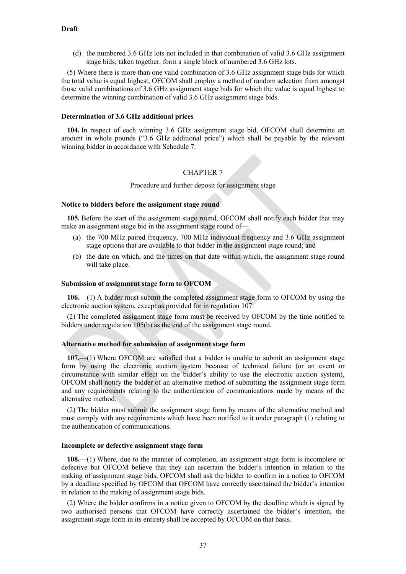(d) the numbered 3.6 GHz lots not included in that combination of valid 3.6 GHz assignment stage bids, taken together, form a single block of numbered 3.6 GHz lots.

(5) Where there is more than one valid combination of 3.6 GHz assignment stage bids for which the total value is equal highest, OFCOM shall employ a method of random selection from amongst those valid combinations of 3.6 GHz assignment stage bids for which the value is equal highest to determine the winning combination of valid 3.6 GHz assignment stage bids.

### **Determination of 3.6 GHz additional prices**

**104.** In respect of each winning 3.6 GHz assignment stage bid, OFCOM shall determine an amount in whole pounds ("3.6 GHz additional price") which shall be payable by the relevant winning bidder in accordance with Schedule 7.

## CHAPTER 7

Procedure and further deposit for assignment stage

#### **Notice to bidders before the assignment stage round**

<span id="page-36-0"></span>**105.** Before the start of the assignment stage round, OFCOM shall notify each bidder that may make an assignment stage bid in the assignment stage round of—

- (a) the 700 MHz paired frequency, 700 MHz individual frequency and 3.6 GHz assignment stage options that are available to that bidder in the assignment stage round; and
- <span id="page-36-3"></span>(b) the date on which, and the times on that date within which, the assignment stage round will take place.

#### **Submission of assignment stage form to OFCOM**

<span id="page-36-1"></span>**106.**—(1) A bidder must submit the completed assignment stage form to OFCOM by using the electronic auction system, except as provided for in regulation 107.

(2) The completed assignment stage form must be received by OFCOM by the time notified to bidders under regulation [105\(b\)](#page-36-3) as the end of the assignment stage round.

#### <span id="page-36-2"></span>**Alternative method for submission of assignment stage form**

**107.**—(1) Where OFCOM are satisfied that a bidder is unable to submit an assignment stage form by using the electronic auction system because of technical failure (or an event or circumstance with similar effect on the bidder's ability to use the electronic auction system), OFCOM shall notify the bidder of an alternative method of submitting the assignment stage form and any requirements relating to the authentication of communications made by means of the alternative method.

(2) The bidder must submit the assignment stage form by means of the alternative method and must comply with any requirements which have been notified to it under paragraph (1) relating to the authentication of communications.

#### **Incomplete or defective assignment stage form**

**108.**—(1) Where, due to the manner of completion, an assignment stage form is incomplete or defective but OFCOM believe that they can ascertain the bidder's intention in relation to the making of assignment stage bids, OFCOM shall ask the bidder to confirm in a notice to OFCOM by a deadline specified by OFCOM that OFCOM have correctly ascertained the bidder's intention in relation to the making of assignment stage bids.

(2) Where the bidder confirms in a notice given to OFCOM by the deadline which is signed by two authorised persons that OFCOM have correctly ascertained the bidder's intention, the assignment stage form in its entirety shall be accepted by OFCOM on that basis.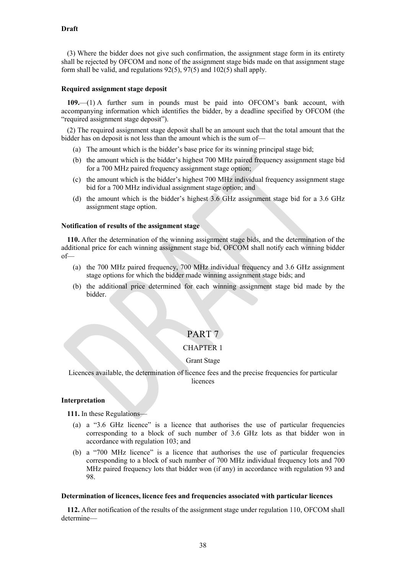(3) Where the bidder does not give such confirmation, the assignment stage form in its entirety shall be rejected by OFCOM and none of the assignment stage bids made on that assignment stage form shall be valid, and regulations 92(5), 97(5) and 102(5) shall apply.

#### **Required assignment stage deposit**

<span id="page-37-0"></span>**109.**—(1) A further sum in pounds must be paid into OFCOM's bank account, with accompanying information which identifies the bidder, by a deadline specified by OFCOM (the "required assignment stage deposit").

(2) The required assignment stage deposit shall be an amount such that the total amount that the bidder has on deposit is not less than the amount which is the sum of—

- (a) The amount which is the bidder's base price for its winning principal stage bid;
- (b) the amount which is the bidder's highest 700 MHz paired frequency assignment stage bid for a 700 MHz paired frequency assignment stage option;
- (c) the amount which is the bidder's highest 700 MHz individual frequency assignment stage bid for a 700 MHz individual assignment stage option; and
- (d) the amount which is the bidder's highest 3.6 GHz assignment stage bid for a 3.6 GHz assignment stage option.

#### **Notification of results of the assignment stage**

<span id="page-37-1"></span>**110.** After the determination of the winning assignment stage bids, and the determination of the additional price for each winning assignment stage bid, OFCOM shall notify each winning bidder of—

- (a) the 700 MHz paired frequency, 700 MHz individual frequency and 3.6 GHz assignment stage options for which the bidder made winning assignment stage bids; and
- (b) the additional price determined for each winning assignment stage bid made by the bidder.

## PART 7

### CHAPTER 1

#### Grant Stage

Licences available, the determination of licence fees and the precise frequencies for particular licences

### **Interpretation**

**111.** In these Regulations—

- (a) a "3.6 GHz licence" is a licence that authorises the use of particular frequencies corresponding to a block of such number of 3.6 GHz lots as that bidder won in accordance with regulation 103; and
- (b) a "700 MHz licence" is a licence that authorises the use of particular frequencies corresponding to a block of such number of 700 MHz individual frequency lots and 700 MHz paired frequency lots that bidder won (if any) in accordance with regulation 93 and 98.

#### **Determination of licences, licence fees and frequencies associated with particular licences**

**112.** After notification of the results of the assignment stage under regulation [110,](#page-37-1) OFCOM shall determine—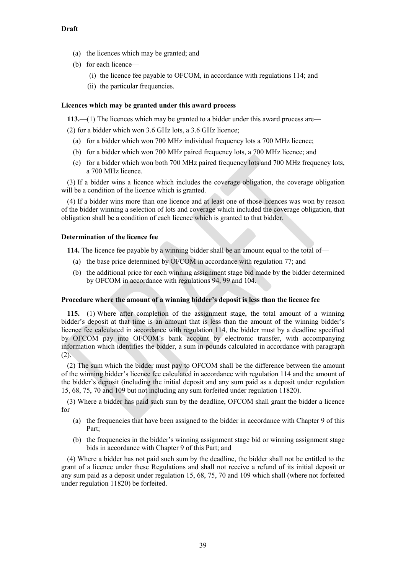- (a) the licences which may be granted; and
- (b) for each licence—
	- (i) the licence fee payable to OFCOM, in accordance with regulations 114; and
	- (ii) the particular frequencies.

#### **Licences which may be granted under this award process**

**113.**—(1) The licences which may be granted to a bidder under this award process are—

(2) for a bidder which won 3.6 GHz lots, a 3.6 GHz licence;

- (a) for a bidder which won 700 MHz individual frequency lots a 700 MHz licence;
- (b) for a bidder which won 700 MHz paired frequency lots, a 700 MHz licence; and
- (c) for a bidder which won both 700 MHz paired frequency lots and 700 MHz frequency lots, a 700 MHz licence.

(3) If a bidder wins a licence which includes the coverage obligation, the coverage obligation will be a condition of the licence which is granted.

(4) If a bidder wins more than one licence and at least one of those licences was won by reason of the bidder winning a selection of lots and coverage which included the coverage obligation, that obligation shall be a condition of each licence which is granted to that bidder.

#### **Determination of the licence fee**

**114.** The licence fee payable by a winning bidder shall be an amount equal to the total of—

- (a) the base price determined by OFCOM in accordance with regulation 77; and
- (b) the additional price for each winning assignment stage bid made by the bidder determined by OFCOM in accordance with regulations 94, 99 and 104.

#### **Procedure where the amount of a winning bidder's deposit is less than the licence fee**

**115.**—(1) Where after completion of the assignment stage, the total amount of a winning bidder's deposit at that time is an amount that is less than the amount of the winning bidder's licence fee calculated in accordance with regulation 114, the bidder must by a deadline specified by OFCOM pay into OFCOM's bank account by electronic transfer, with accompanying information which identifies the bidder, a sum in pounds calculated in accordance with paragraph (2).

(2) The sum which the bidder must pay to OFCOM shall be the difference between the amount of the winning bidder's licence fee calculated in accordance with regulation 114 and the amount of the bidder's deposit (including the initial deposit and any sum paid as a deposit under regulation 15, 68, 75, 70 and 109 but not including any sum forfeited under regulation 11820).

(3) Where a bidder has paid such sum by the deadline, OFCOM shall grant the bidder a licence for—

- (a) the frequencies that have been assigned to the bidder in accordance with Chapter 9 of this Part;
- (b) the frequencies in the bidder's winning assignment stage bid or winning assignment stage bids in accordance with Chapter 9 of this Part; and

(4) Where a bidder has not paid such sum by the deadline, the bidder shall not be entitled to the grant of a licence under these Regulations and shall not receive a refund of its initial deposit or any sum paid as a deposit under regulation 15, 68, 75, 70 and 109 which shall (where not forfeited under regulation 11820) be forfeited.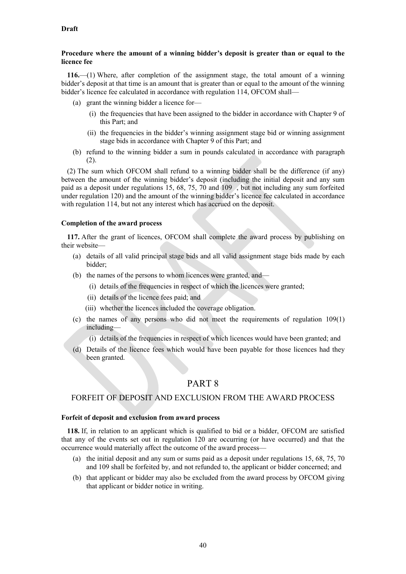## **Procedure where the amount of a winning bidder's deposit is greater than or equal to the licence fee**

**116.**—(1) Where, after completion of the assignment stage, the total amount of a winning bidder's deposit at that time is an amount that is greater than or equal to the amount of the winning bidder's licence fee calculated in accordance with regulation 114, OFCOM shall—

- (a) grant the winning bidder a licence for—
	- (i) the frequencies that have been assigned to the bidder in accordance with Chapter 9 of this Part; and
	- (ii) the frequencies in the bidder's winning assignment stage bid or winning assignment stage bids in accordance with Chapter 9 of this Part; and
- (b) refund to the winning bidder a sum in pounds calculated in accordance with paragraph (2).

(2) The sum which OFCOM shall refund to a winning bidder shall be the difference (if any) between the amount of the winning bidder's deposit (including the initial deposit and any sum paid as a deposit under regulations 15, 68, 75, 70 and 109 , but not including any sum forfeited under regulation 120) and the amount of the winning bidder's licence fee calculated in accordance with regulation 114, but not any interest which has accrued on the deposit.

## **Completion of the award process**

**117.** After the grant of licences, OFCOM shall complete the award process by publishing on their website—

- (a) details of all valid principal stage bids and all valid assignment stage bids made by each bidder;
- (b) the names of the persons to whom licences were granted, and—
	- (i) details of the frequencies in respect of which the licences were granted;
	- (ii) details of the licence fees paid; and
	- (iii) whether the licences included the coverage obligation.
- (c) the names of any persons who did not meet the requirements of regulation 109(1) including—
	- (i) details of the frequencies in respect of which licences would have been granted; and
- (d) Details of the licence fees which would have been payable for those licences had they been granted.

## PART 8

## FORFEIT OF DEPOSIT AND EXCLUSION FROM THE AWARD PROCESS

#### **Forfeit of deposit and exclusion from award process**

**118.** If, in relation to an applicant which is qualified to bid or a bidder, OFCOM are satisfied that any of the events set out in regulation 120 are occurring (or have occurred) and that the occurrence would materially affect the outcome of the award process—

- (a) the initial deposit and any sum or sums paid as a deposit under regulations 15, 68, 75, 70 and 109 shall be forfeited by, and not refunded to, the applicant or bidder concerned; and
- (b) that applicant or bidder may also be excluded from the award process by OFCOM giving that applicant or bidder notice in writing.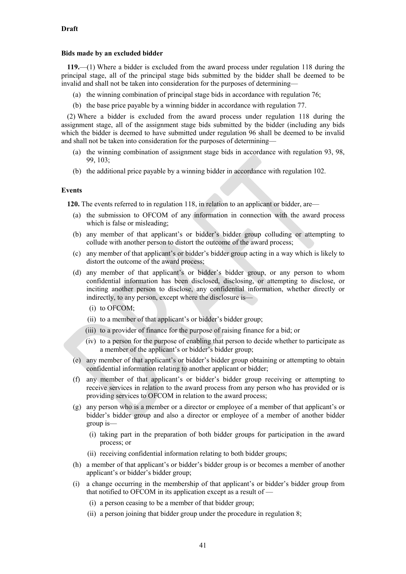#### **Bids made by an excluded bidder**

**119.**—(1) Where a bidder is excluded from the award process under regulation 118 during the principal stage, all of the principal stage bids submitted by the bidder shall be deemed to be invalid and shall not be taken into consideration for the purposes of determining—

- (a) the winning combination of principal stage bids in accordance with regulation 76;
- (b) the base price payable by a winning bidder in accordance with regulation 77.

(2) Where a bidder is excluded from the award process under regulation 118 during the assignment stage, all of the assignment stage bids submitted by the bidder (including any bids which the bidder is deemed to have submitted under regulation 96 shall be deemed to be invalid and shall not be taken into consideration for the purposes of determining—

- (a) the winning combination of assignment stage bids in accordance with regulation 93, 98, 99, 103;
- (b) the additional price payable by a winning bidder in accordance with regulation 102.

## **Events**

**120.** The events referred to in regulation 118, in relation to an applicant or bidder, are—

- (a) the submission to OFCOM of any information in connection with the award process which is false or misleading;
- (b) any member of that applicant's or bidder's bidder group colluding or attempting to collude with another person to distort the outcome of the award process;
- (c) any member of that applicant's or bidder's bidder group acting in a way which is likely to distort the outcome of the award process;
- (d) any member of that applicant's or bidder's bidder group, or any person to whom confidential information has been disclosed, disclosing, or attempting to disclose, or inciting another person to disclose, any confidential information, whether directly or indirectly, to any person, except where the disclosure is—
	- (i) to OFCOM;
	- (ii) to a member of that applicant's or bidder's bidder group;
	- (iii) to a provider of finance for the purpose of raising finance for a bid; or
	- (iv) to a person for the purpose of enabling that person to decide whether to participate as a member of the applicant's or bidder's bidder group;
- (e) any member of that applicant's or bidder's bidder group obtaining or attempting to obtain confidential information relating to another applicant or bidder;
- (f) any member of that applicant's or bidder's bidder group receiving or attempting to receive services in relation to the award process from any person who has provided or is providing services to OFCOM in relation to the award process;
- (g) any person who is a member or a director or employee of a member of that applicant's or bidder's bidder group and also a director or employee of a member of another bidder group is—
	- (i) taking part in the preparation of both bidder groups for participation in the award process; or
	- (ii) receiving confidential information relating to both bidder groups;
- (h) a member of that applicant's or bidder's bidder group is or becomes a member of another applicant's or bidder's bidder group;
- (i) a change occurring in the membership of that applicant's or bidder's bidder group from that notified to OFCOM in its application except as a result of —
	- (i) a person ceasing to be a member of that bidder group;
	- (ii) a person joining that bidder group under the procedure in regulation 8;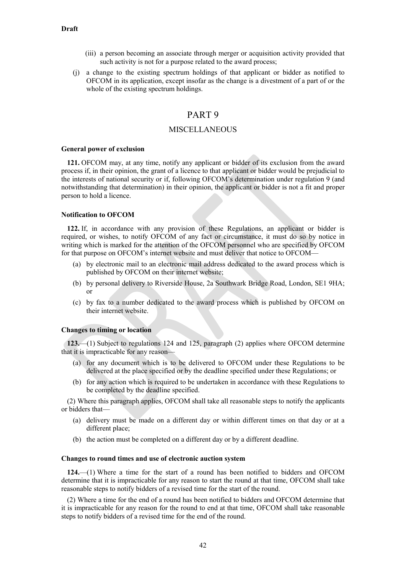- (iii) a person becoming an associate through merger or acquisition activity provided that such activity is not for a purpose related to the award process;
- (j) a change to the existing spectrum holdings of that applicant or bidder as notified to OFCOM in its application, except insofar as the change is a divestment of a part of or the whole of the existing spectrum holdings.

## PART 9

## MISCELLANEOUS

#### **General power of exclusion**

**121.** OFCOM may, at any time, notify any applicant or bidder of its exclusion from the award process if, in their opinion, the grant of a licence to that applicant or bidder would be prejudicial to the interests of national security or if, following OFCOM's determination under regulation 9 (and notwithstanding that determination) in their opinion, the applicant or bidder is not a fit and proper person to hold a licence.

#### **Notification to OFCOM**

**122.** If, in accordance with any provision of these Regulations, an applicant or bidder is required, or wishes, to notify OFCOM of any fact or circumstance, it must do so by notice in writing which is marked for the attention of the OFCOM personnel who are specified by OFCOM for that purpose on OFCOM's internet website and must deliver that notice to OFCOM—

- (a) by electronic mail to an electronic mail address dedicated to the award process which is published by OFCOM on their internet website;
- (b) by personal delivery to Riverside House, 2a Southwark Bridge Road, London, SE1 9HA; or
- (c) by fax to a number dedicated to the award process which is published by OFCOM on their internet website.

#### **Changes to timing or location**

**123.**—(1) Subject to regulations 124 and 125, paragraph [\(2\)](#page-41-0) applies where OFCOM determine that it is impracticable for any reason—

- (a) for any document which is to be delivered to OFCOM under these Regulations to be delivered at the place specified or by the deadline specified under these Regulations; or
- (b) for any action which is required to be undertaken in accordance with these Regulations to be completed by the deadline specified.

<span id="page-41-0"></span>(2) Where this paragraph applies, OFCOM shall take all reasonable steps to notify the applicants or bidders that—

- (a) delivery must be made on a different day or within different times on that day or at a different place;
- (b) the action must be completed on a different day or by a different deadline.

#### **Changes to round times and use of electronic auction system**

**124.**—(1) Where a time for the start of a round has been notified to bidders and OFCOM determine that it is impracticable for any reason to start the round at that time, OFCOM shall take reasonable steps to notify bidders of a revised time for the start of the round.

(2) Where a time for the end of a round has been notified to bidders and OFCOM determine that it is impracticable for any reason for the round to end at that time, OFCOM shall take reasonable steps to notify bidders of a revised time for the end of the round.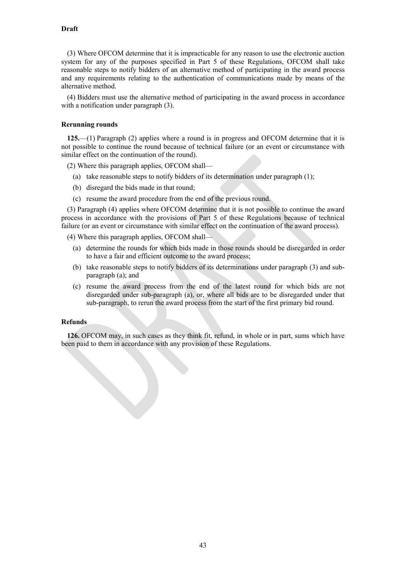(3) Where OFCOM determine that it is impracticable for any reason to use the electronic auction system for any of the purposes specified in Part 5 of these Regulations, OFCOM shall take reasonable steps to notify bidders of an alternative method of participating in the award process and any requirements relating to the authentication of communications made by means of the alternative method.

(4) Bidders must use the alternative method of participating in the award process in accordance with a notification under paragraph  $(3)$ .

#### **Rerunning rounds**

**125.**—(1) Paragraph [\(2\)](#page-42-0) applies where a round is in progress and OFCOM determine that it is not possible to continue the round because of technical failure (or an event or circumstance with similar effect on the continuation of the round).

<span id="page-42-0"></span>(2) Where this paragraph applies, OFCOM shall—

- (a) take reasonable steps to notify bidders of its determination under paragraph (1);
- (b) disregard the bids made in that round;
- (c) resume the award procedure from the end of the previous round.

<span id="page-42-1"></span>(3) Paragraph (4) applies where OFCOM determine that it is not possible to continue the award process in accordance with the provisions of Part 5 of these Regulations because of technical failure (or an event or circumstance with similar effect on the continuation of the award process).

<span id="page-42-2"></span>(4) Where this paragraph applies, OFCOM shall—

- (a) determine the rounds for which bids made in those rounds should be disregarded in order to have a fair and efficient outcome to the award process;
- (b) take reasonable steps to notify bidders of its determinations under paragraph [\(3\)](#page-42-1) and subparagraph [\(a\);](#page-42-2) and
- (c) resume the award process from the end of the latest round for which bids are not disregarded under sub-paragraph (a), or, where all bids are to be disregarded under that sub-paragraph, to rerun the award process from the start of the first primary bid round.

#### **Refunds**

**126.** OFCOM may, in such cases as they think fit, refund, in whole or in part, sums which have been paid to them in accordance with any provision of these Regulations.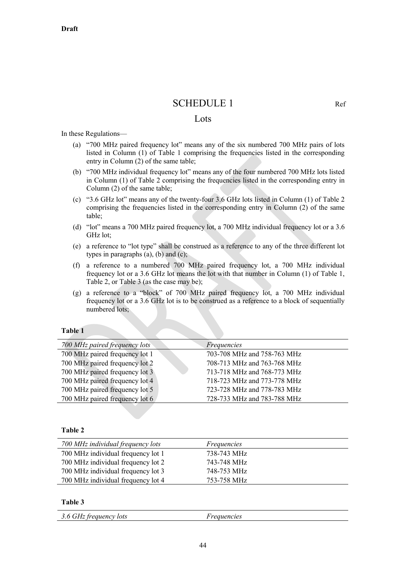## SCHEDULE 1 Ref

## Lots

In these Regulations—

- (a) "700 MHz paired frequency lot" means any of the six numbered 700 MHz pairs of lots listed in Column (1) of Table 1 comprising the frequencies listed in the corresponding entry in Column (2) of the same table;
- (b) "700 MHz individual frequency lot" means any of the four numbered 700 MHz lots listed in Column (1) of Table 2 comprising the frequencies listed in the corresponding entry in Column (2) of the same table;
- (c) "3.6 GHz lot" means any of the twenty-four 3.6 GHz lots listed in Column (1) of Table 2 comprising the frequencies listed in the corresponding entry in Column (2) of the same table;
- (d) "lot" means a 700 MHz paired frequency lot, a 700 MHz individual frequency lot or a 3.6 GHz lot;
- (e) a reference to "lot type" shall be construed as a reference to any of the three different lot types in paragraphs (a), (b) and (c);
- (f) a reference to a numbered 700 MHz paired frequency lot, a 700 MHz individual frequency lot or a 3.6 GHz lot means the lot with that number in Column (1) of Table 1, Table 2, or Table 3 (as the case may be);
- (g) a reference to a "block" of 700 MHz paired frequency lot, a 700 MHz individual frequency lot or a 3.6 GHz lot is to be construed as a reference to a block of sequentially numbered lots;

#### **Table 1**

| 700 MHz paired frequency lots  | Frequencies                 |
|--------------------------------|-----------------------------|
| 700 MHz paired frequency lot 1 | 703-708 MHz and 758-763 MHz |
| 700 MHz paired frequency lot 2 | 708-713 MHz and 763-768 MHz |
| 700 MHz paired frequency lot 3 | 713-718 MHz and 768-773 MHz |
| 700 MHz paired frequency lot 4 | 718-723 MHz and 773-778 MHz |
| 700 MHz paired frequency lot 5 | 723-728 MHz and 778-783 MHz |
| 700 MHz paired frequency lot 6 | 728-733 MHz and 783-788 MHz |

**Table 2**

| 700 MHz individual frequency lots  | Frequencies |
|------------------------------------|-------------|
| 700 MHz individual frequency lot 1 | 738-743 MHz |
| 700 MHz individual frequency lot 2 | 743-748 MHz |
| 700 MHz individual frequency lot 3 | 748-753 MHz |
| 700 MHz individual frequency lot 4 | 753-758 MHz |

#### **Table 3**

| 3.6 GHz frequency lots<br><i>reauencies</i> |
|---------------------------------------------|
|---------------------------------------------|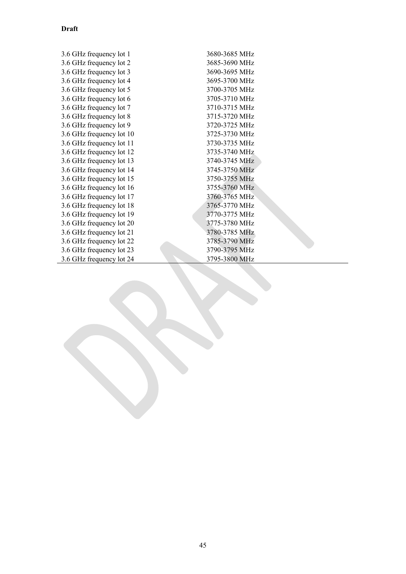| 3.6 GHz frequency lot 1  | 3680-3685 MHz |
|--------------------------|---------------|
| 3.6 GHz frequency lot 2  | 3685-3690 MHz |
| 3.6 GHz frequency lot 3  | 3690-3695 MHz |
| 3.6 GHz frequency lot 4  | 3695-3700 MHz |
| 3.6 GHz frequency lot 5  | 3700-3705 MHz |
| 3.6 GHz frequency lot 6  | 3705-3710 MHz |
| 3.6 GHz frequency lot 7  | 3710-3715 MHz |
| 3.6 GHz frequency lot 8  | 3715-3720 MHz |
| 3.6 GHz frequency lot 9  | 3720-3725 MHz |
| 3.6 GHz frequency lot 10 | 3725-3730 MHz |
| 3.6 GHz frequency lot 11 | 3730-3735 MHz |
| 3.6 GHz frequency lot 12 | 3735-3740 MHz |
| 3.6 GHz frequency lot 13 | 3740-3745 MHz |
| 3.6 GHz frequency lot 14 | 3745-3750 MHz |
| 3.6 GHz frequency lot 15 | 3750-3755 MHz |
| 3.6 GHz frequency lot 16 | 3755-3760 MHz |
| 3.6 GHz frequency lot 17 | 3760-3765 MHz |
| 3.6 GHz frequency lot 18 | 3765-3770 MHz |
| 3.6 GHz frequency lot 19 | 3770-3775 MHz |
| 3.6 GHz frequency lot 20 | 3775-3780 MHz |
| 3.6 GHz frequency lot 21 | 3780-3785 MHz |
| 3.6 GHz frequency lot 22 | 3785-3790 MHz |
| 3.6 GHz frequency lot 23 | 3790-3795 MHz |
| 3.6 GHz frequency lot 24 | 3795-3800 MHz |
|                          |               |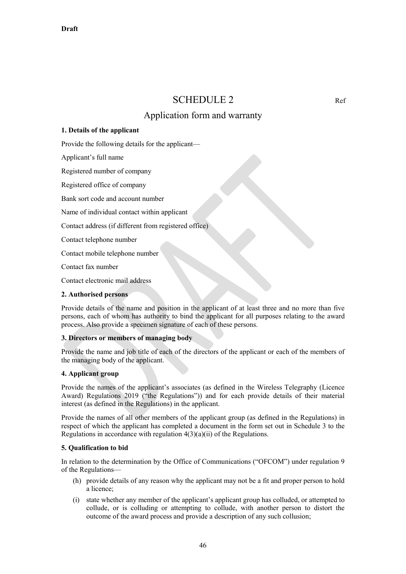## SCHEDULE 2 Ref

## Application form and warranty

## **1. Details of the applicant**

Provide the following details for the applicant—

Applicant's full name

Registered number of company

Registered office of company

Bank sort code and account number

Name of individual contact within applicant

Contact address (if different from registered office)

Contact telephone number

Contact mobile telephone number

Contact fax number

Contact electronic mail address

#### **2. Authorised persons**

Provide details of the name and position in the applicant of at least three and no more than five persons, each of whom has authority to bind the applicant for all purposes relating to the award process. Also provide a specimen signature of each of these persons.

## **3. Directors or members of managing body**

Provide the name and job title of each of the directors of the applicant or each of the members of the managing body of the applicant.

## **4. Applicant group**

Provide the names of the applicant's associates (as defined in the Wireless Telegraphy (Licence Award) Regulations 2019 ("the Regulations")) and for each provide details of their material interest (as defined in the Regulations) in the applicant.

Provide the names of all other members of the applicant group (as defined in the Regulations) in respect of which the applicant has completed a document in the form set out in Schedule 3 to the Regulations in accordance with regulation  $4(3)(a)(ii)$  of the Regulations.

#### **5. Qualification to bid**

In relation to the determination by the Office of Communications ("OFCOM") under regulation 9 of the Regulations—

- (h) provide details of any reason why the applicant may not be a fit and proper person to hold a licence;
- (i) state whether any member of the applicant's applicant group has colluded, or attempted to collude, or is colluding or attempting to collude, with another person to distort the outcome of the award process and provide a description of any such collusion;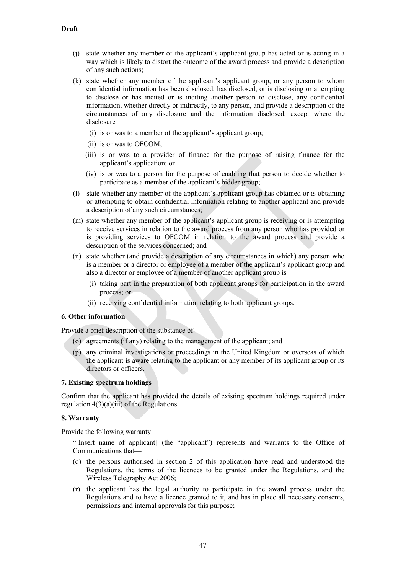- (j) state whether any member of the applicant's applicant group has acted or is acting in a way which is likely to distort the outcome of the award process and provide a description of any such actions;
- (k) state whether any member of the applicant's applicant group, or any person to whom confidential information has been disclosed, has disclosed, or is disclosing or attempting to disclose or has incited or is inciting another person to disclose, any confidential information, whether directly or indirectly, to any person, and provide a description of the circumstances of any disclosure and the information disclosed, except where the disclosure—
	- (i) is or was to a member of the applicant's applicant group;
	- (ii) is or was to OFCOM;
	- (iii) is or was to a provider of finance for the purpose of raising finance for the applicant's application; or
	- (iv) is or was to a person for the purpose of enabling that person to decide whether to participate as a member of the applicant's bidder group;
- (l) state whether any member of the applicant's applicant group has obtained or is obtaining or attempting to obtain confidential information relating to another applicant and provide a description of any such circumstances;
- (m) state whether any member of the applicant's applicant group is receiving or is attempting to receive services in relation to the award process from any person who has provided or is providing services to OFCOM in relation to the award process and provide a description of the services concerned; and
- (n) state whether (and provide a description of any circumstances in which) any person who is a member or a director or employee of a member of the applicant's applicant group and also a director or employee of a member of another applicant group is—
	- (i) taking part in the preparation of both applicant groups for participation in the award process; or
	- (ii) receiving confidential information relating to both applicant groups.

## **6. Other information**

Provide a brief description of the substance of—

- (o) agreements (if any) relating to the management of the applicant; and
- (p) any criminal investigations or proceedings in the United Kingdom or overseas of which the applicant is aware relating to the applicant or any member of its applicant group or its directors or officers.

## **7. Existing spectrum holdings**

Confirm that the applicant has provided the details of existing spectrum holdings required under regulation  $4(3)(a)(iii)$  of the Regulations.

## **8. Warranty**

Provide the following warranty—

"[Insert name of applicant] (the "applicant") represents and warrants to the Office of Communications that—

- (q) the persons authorised in section 2 of this application have read and understood the Regulations, the terms of the licences to be granted under the Regulations, and the Wireless Telegraphy Act 2006;
- (r) the applicant has the legal authority to participate in the award process under the Regulations and to have a licence granted to it, and has in place all necessary consents, permissions and internal approvals for this purpose;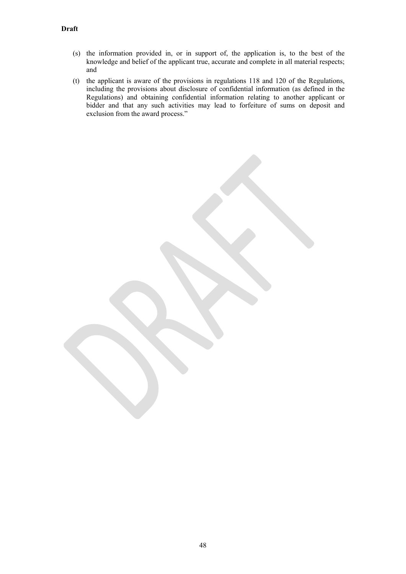- (s) the information provided in, or in support of, the application is, to the best of the knowledge and belief of the applicant true, accurate and complete in all material respects; and
- (t) the applicant is aware of the provisions in regulations 118 and 120 of the Regulations, including the provisions about disclosure of confidential information (as defined in the Regulations) and obtaining confidential information relating to another applicant or bidder and that any such activities may lead to forfeiture of sums on deposit and exclusion from the award process."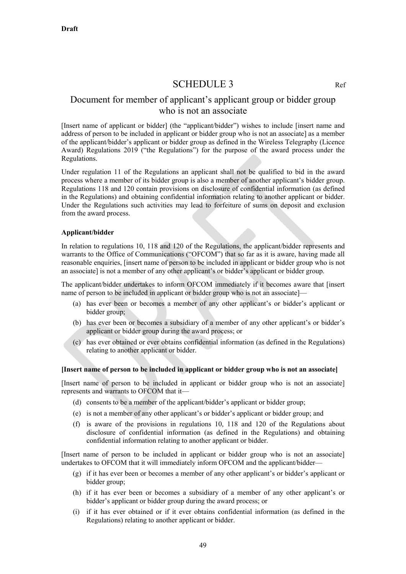## SCHEDULE 3

## Document for member of applicant's applicant group or bidder group who is not an associate

[Insert name of applicant or bidder] (the "applicant/bidder") wishes to include [insert name and address of person to be included in applicant or bidder group who is not an associate] as a member of the applicant/bidder's applicant or bidder group as defined in the Wireless Telegraphy (Licence Award) Regulations 2019 ("the Regulations") for the purpose of the award process under the Regulations.

Under regulation [11](#page-7-2) of the Regulations an applicant shall not be qualified to bid in the award process where a member of its bidder group is also a member of another applicant's bidder group. Regulations 118 and 120 contain provisions on disclosure of confidential information (as defined in the Regulations) and obtaining confidential information relating to another applicant or bidder. Under the Regulations such activities may lead to forfeiture of sums on deposit and exclusion from the award process.

## **Applicant/bidder**

In relation to regulations 10, 118 and 120 of the Regulations, the applicant/bidder represents and warrants to the Office of Communications ("OFCOM") that so far as it is aware, having made all reasonable enquiries, [insert name of person to be included in applicant or bidder group who is not an associate] is not a member of any other applicant's or bidder's applicant or bidder group.

The applicant/bidder undertakes to inform OFCOM immediately if it becomes aware that [insert name of person to be included in applicant or bidder group who is not an associate]—

- (a) has ever been or becomes a member of any other applicant's or bidder's applicant or bidder group;
- (b) has ever been or becomes a subsidiary of a member of any other applicant's or bidder's applicant or bidder group during the award process; or
- (c) has ever obtained or ever obtains confidential information (as defined in the Regulations) relating to another applicant or bidder.

#### **[Insert name of person to be included in applicant or bidder group who is not an associate]**

[Insert name of person to be included in applicant or bidder group who is not an associate] represents and warrants to OFCOM that it—

- (d) consents to be a member of the applicant/bidder's applicant or bidder group;
- (e) is not a member of any other applicant's or bidder's applicant or bidder group; and
- (f) is aware of the provisions in regulations 10, 118 and 120 of the Regulations about disclosure of confidential information (as defined in the Regulations) and obtaining confidential information relating to another applicant or bidder.

[Insert name of person to be included in applicant or bidder group who is not an associate] undertakes to OFCOM that it will immediately inform OFCOM and the applicant/bidder—

- (g) if it has ever been or becomes a member of any other applicant's or bidder's applicant or bidder group;
- (h) if it has ever been or becomes a subsidiary of a member of any other applicant's or bidder's applicant or bidder group during the award process; or
- (i) if it has ever obtained or if it ever obtains confidential information (as defined in the Regulations) relating to another applicant or bidder.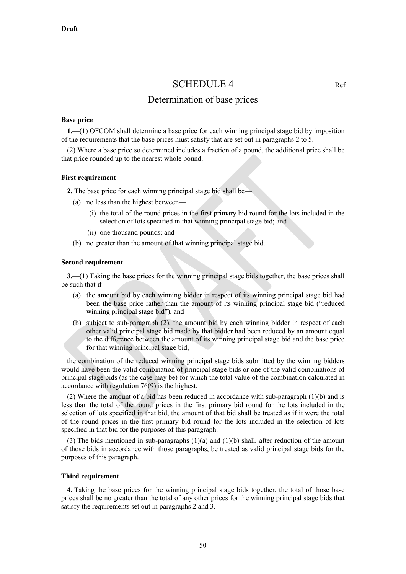## SCHEDULE 4 Ref

## Determination of base prices

#### **Base price**

**1.**—(1) OFCOM shall determine a base price for each winning principal stage bid by imposition of the requirements that the base prices must satisfy that are set out in paragraphs 2 to 5.

(2) Where a base price so determined includes a fraction of a pound, the additional price shall be that price rounded up to the nearest whole pound.

#### **First requirement**

**2.** The base price for each winning principal stage bid shall be—

- (a) no less than the highest between—
	- (i) the total of the round prices in the first primary bid round for the lots included in the selection of lots specified in that winning principal stage bid; and
	- (ii) one thousand pounds; and
- (b) no greater than the amount of that winning principal stage bid.

#### **Second requirement**

**3.**—(1) Taking the base prices for the winning principal stage bids together, the base prices shall be such that if—

- (a) the amount bid by each winning bidder in respect of its winning principal stage bid had been the base price rather than the amount of its winning principal stage bid ("reduced winning principal stage bid"), and
- (b) subject to sub-paragraph (2), the amount bid by each winning bidder in respect of each other valid principal stage bid made by that bidder had been reduced by an amount equal to the difference between the amount of its winning principal stage bid and the base price for that winning principal stage bid,

the combination of the reduced winning principal stage bids submitted by the winning bidders would have been the valid combination of principal stage bids or one of the valid combinations of principal stage bids (as the case may be) for which the total value of the combination calculated in accordance with regulation 76(9) is the highest.

(2) Where the amount of a bid has been reduced in accordance with sub-paragraph (1)(b) and is less than the total of the round prices in the first primary bid round for the lots included in the selection of lots specified in that bid, the amount of that bid shall be treated as if it were the total of the round prices in the first primary bid round for the lots included in the selection of lots specified in that bid for the purposes of this paragraph.

(3) The bids mentioned in sub-paragraphs (1)(a) and (1)(b) shall, after reduction of the amount of those bids in accordance with those paragraphs, be treated as valid principal stage bids for the purposes of this paragraph.

#### **Third requirement**

**4.** Taking the base prices for the winning principal stage bids together, the total of those base prices shall be no greater than the total of any other prices for the winning principal stage bids that satisfy the requirements set out in paragraphs 2 and 3.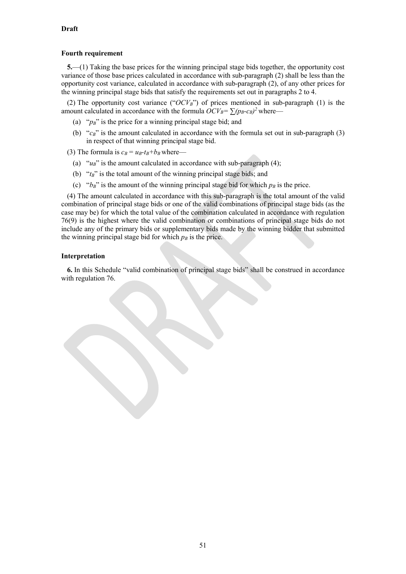## **Fourth requirement**

**5.**—(1) Taking the base prices for the winning principal stage bids together, the opportunity cost variance of those base prices calculated in accordance with sub-paragraph (2) shall be less than the opportunity cost variance, calculated in accordance with sub-paragraph (2), of any other prices for the winning principal stage bids that satisfy the requirements set out in paragraphs 2 to 4.

(2) The opportunity cost variance (" $OCV_B$ ") of prices mentioned in sub-paragraph (1) is the amount calculated in accordance with the formula  $OCV_B = \sum (p_B-c_B)^2$  where—

- (a) "*pB*" is the price for a winning principal stage bid; and
- (b) "*c<sub>B</sub>*" is the amount calculated in accordance with the formula set out in sub-paragraph (3) in respect of that winning principal stage bid.

(3) The formula is  $c_B = u_B - t_B + b_B$  where—

- (a)  $"u_B"$  is the amount calculated in accordance with sub-paragraph (4);
- (b) "*t<sub>B</sub>*" is the total amount of the winning principal stage bids; and
- (c) " $b_B$ " is the amount of the winning principal stage bid for which  $p_B$  is the price.

(4) The amount calculated in accordance with this sub-paragraph is the total amount of the valid combination of principal stage bids or one of the valid combinations of principal stage bids (as the case may be) for which the total value of the combination calculated in accordance with regulation 76(9) is the highest where the valid combination or combinations of principal stage bids do not include any of the primary bids or supplementary bids made by the winning bidder that submitted the winning principal stage bid for which  $p_B$  is the price.

## **Interpretation**

**6.** In this Schedule "valid combination of principal stage bids" shall be construed in accordance with regulation 76.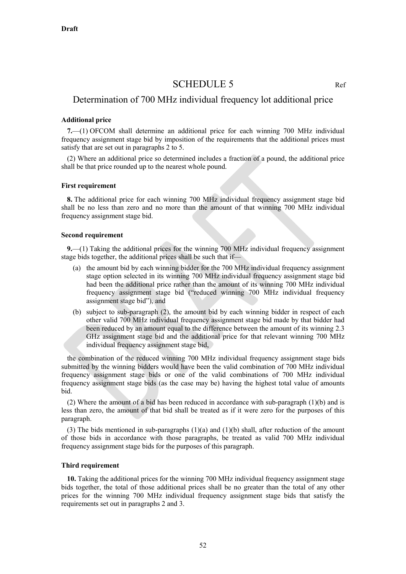## SCHEDULE 5 Ref

## Determination of 700 MHz individual frequency lot additional price

#### **Additional price**

**7.**—(1) OFCOM shall determine an additional price for each winning 700 MHz individual frequency assignment stage bid by imposition of the requirements that the additional prices must satisfy that are set out in paragraphs 2 to 5.

(2) Where an additional price so determined includes a fraction of a pound, the additional price shall be that price rounded up to the nearest whole pound.

#### **First requirement**

**8.** The additional price for each winning 700 MHz individual frequency assignment stage bid shall be no less than zero and no more than the amount of that winning 700 MHz individual frequency assignment stage bid.

#### **Second requirement**

**9.**—(1) Taking the additional prices for the winning 700 MHz individual frequency assignment stage bids together, the additional prices shall be such that if—

- (a) the amount bid by each winning bidder for the 700 MHz individual frequency assignment stage option selected in its winning 700 MHz individual frequency assignment stage bid had been the additional price rather than the amount of its winning 700 MHz individual frequency assignment stage bid ("reduced winning 700 MHz individual frequency assignment stage bid"), and
- (b) subject to sub-paragraph (2), the amount bid by each winning bidder in respect of each other valid 700 MHz individual frequency assignment stage bid made by that bidder had been reduced by an amount equal to the difference between the amount of its winning 2.3 GHz assignment stage bid and the additional price for that relevant winning 700 MHz individual frequency assignment stage bid,

the combination of the reduced winning 700 MHz individual frequency assignment stage bids submitted by the winning bidders would have been the valid combination of 700 MHz individual frequency assignment stage bids or one of the valid combinations of 700 MHz individual frequency assignment stage bids (as the case may be) having the highest total value of amounts bid.

(2) Where the amount of a bid has been reduced in accordance with sub-paragraph (1)(b) and is less than zero, the amount of that bid shall be treated as if it were zero for the purposes of this paragraph.

(3) The bids mentioned in sub-paragraphs  $(1)(a)$  and  $(1)(b)$  shall, after reduction of the amount of those bids in accordance with those paragraphs, be treated as valid 700 MHz individual frequency assignment stage bids for the purposes of this paragraph.

#### **Third requirement**

**10.** Taking the additional prices for the winning 700 MHz individual frequency assignment stage bids together, the total of those additional prices shall be no greater than the total of any other prices for the winning 700 MHz individual frequency assignment stage bids that satisfy the requirements set out in paragraphs 2 and 3.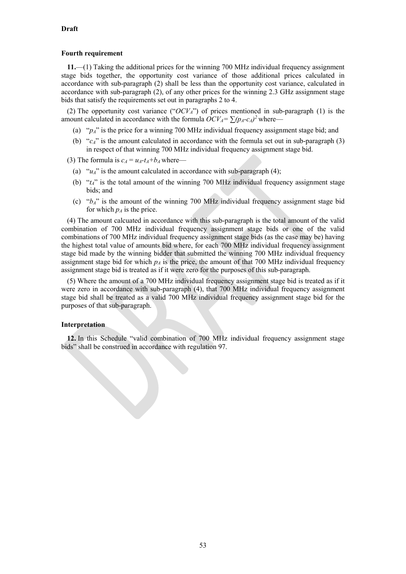#### **Fourth requirement**

**11.**—(1) Taking the additional prices for the winning 700 MHz individual frequency assignment stage bids together, the opportunity cost variance of those additional prices calculated in accordance with sub-paragraph (2) shall be less than the opportunity cost variance, calculated in accordance with sub-paragraph (2), of any other prices for the winning 2.3 GHz assignment stage bids that satisfy the requirements set out in paragraphs 2 to 4.

(2) The opportunity cost variance ("*OCVA*") of prices mentioned in sub-paragraph (1) is the amount calculated in accordance with the formula  $OCV_A = \sum (p_A - c_A)^2$  where—

- (a) "*pA*" is the price for a winning 700 MHz individual frequency assignment stage bid; and
- (b) "*cA*" is the amount calculated in accordance with the formula set out in sub-paragraph (3) in respect of that winning 700 MHz individual frequency assignment stage bid.

(3) The formula is  $c_A = u_A - t_A + b_A$  where—

- (a) " $u_A$ " is the amount calculated in accordance with sub-paragraph (4);
- (b) "*tA*" is the total amount of the winning 700 MHz individual frequency assignment stage bids; and
- (c) "*bA*" is the amount of the winning 700 MHz individual frequency assignment stage bid for which  $p_A$  is the price.

(4) The amount calcuated in accordance with this sub-paragraph is the total amount of the valid combination of 700 MHz individual frequency assignment stage bids or one of the valid combinations of 700 MHz individual frequency assignment stage bids (as the case may be) having the highest total value of amounts bid where, for each 700 MHz individual frequency assignment stage bid made by the winning bidder that submitted the winning 700 MHz individual frequency assignment stage bid for which  $p_A$  is the price, the amount of that 700 MHz individual frequency assignment stage bid is treated as if it were zero for the purposes of this sub-paragraph.

(5) Where the amount of a 700 MHz individual frequency assignment stage bid is treated as if it were zero in accordance with sub-paragraph (4), that 700 MHz individual frequency assignment stage bid shall be treated as a valid 700 MHz individual frequency assignment stage bid for the purposes of that sub-paragraph.

#### **Interpretation**

**12.** In this Schedule "valid combination of 700 MHz individual frequency assignment stage bids" shall be construed in accordance with regulation 97.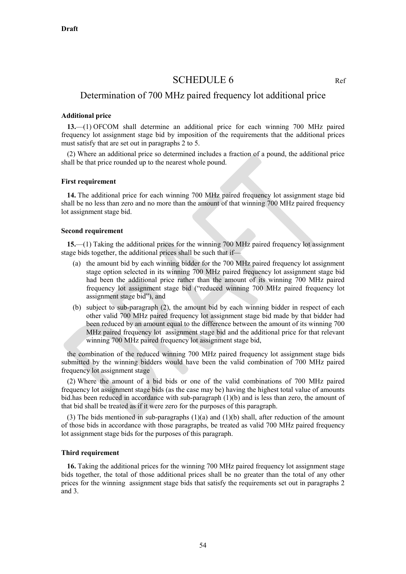## SCHEDULE 6 Ref

## Determination of 700 MHz paired frequency lot additional price

## **Additional price**

**13.**—(1) OFCOM shall determine an additional price for each winning 700 MHz paired frequency lot assignment stage bid by imposition of the requirements that the additional prices must satisfy that are set out in paragraphs 2 to 5.

(2) Where an additional price so determined includes a fraction of a pound, the additional price shall be that price rounded up to the nearest whole pound.

#### **First requirement**

**14.** The additional price for each winning 700 MHz paired frequency lot assignment stage bid shall be no less than zero and no more than the amount of that winning 700 MHz paired frequency lot assignment stage bid.

#### **Second requirement**

**15.**—(1) Taking the additional prices for the winning 700 MHz paired frequency lot assignment stage bids together, the additional prices shall be such that if—

- (a) the amount bid by each winning bidder for the 700 MHz paired frequency lot assignment stage option selected in its winning 700 MHz paired frequency lot assignment stage bid had been the additional price rather than the amount of its winning 700 MHz paired frequency lot assignment stage bid ("reduced winning 700 MHz paired frequency lot assignment stage bid"), and
- (b) subject to sub-paragraph (2), the amount bid by each winning bidder in respect of each other valid 700 MHz paired frequency lot assignment stage bid made by that bidder had been reduced by an amount equal to the difference between the amount of its winning 700 MHz paired frequency lot assignment stage bid and the additional price for that relevant winning 700 MHz paired frequency lot assignment stage bid,

the combination of the reduced winning 700 MHz paired frequency lot assignment stage bids submitted by the winning bidders would have been the valid combination of 700 MHz paired frequency lot assignment stage

(2) Where the amount of a bid bids or one of the valid combinations of 700 MHz paired frequency lot assignment stage bids (as the case may be) having the highest total value of amounts bid.has been reduced in accordance with sub-paragraph (1)(b) and is less than zero, the amount of that bid shall be treated as if it were zero for the purposes of this paragraph.

(3) The bids mentioned in sub-paragraphs  $(1)(a)$  and  $(1)(b)$  shall, after reduction of the amount of those bids in accordance with those paragraphs, be treated as valid 700 MHz paired frequency lot assignment stage bids for the purposes of this paragraph.

#### **Third requirement**

**16.** Taking the additional prices for the winning 700 MHz paired frequency lot assignment stage bids together, the total of those additional prices shall be no greater than the total of any other prices for the winning assignment stage bids that satisfy the requirements set out in paragraphs 2 and 3.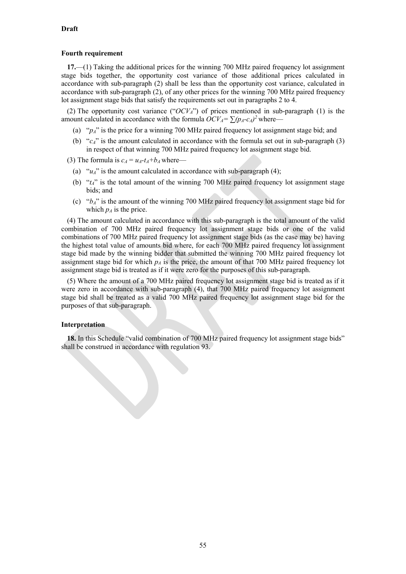#### **Fourth requirement**

**17.**—(1) Taking the additional prices for the winning 700 MHz paired frequency lot assignment stage bids together, the opportunity cost variance of those additional prices calculated in accordance with sub-paragraph (2) shall be less than the opportunity cost variance, calculated in accordance with sub-paragraph (2), of any other prices for the winning 700 MHz paired frequency lot assignment stage bids that satisfy the requirements set out in paragraphs 2 to 4.

(2) The opportunity cost variance ("*OCVA*") of prices mentioned in sub-paragraph (1) is the amount calculated in accordance with the formula  $OCV_A = \sum (p_A - c_A)^2$  where—

- (a) "*pA*" is the price for a winning 700 MHz paired frequency lot assignment stage bid; and
- (b) "*cA*" is the amount calculated in accordance with the formula set out in sub-paragraph (3) in respect of that winning 700 MHz paired frequency lot assignment stage bid.

(3) The formula is  $c_A = u_A - t_A + b_A$  where—

- (a) " $u_A$ " is the amount calculated in accordance with sub-paragraph (4);
- (b) "*tA*" is the total amount of the winning 700 MHz paired frequency lot assignment stage bids; and
- (c) "*bA*" is the amount of the winning 700 MHz paired frequency lot assignment stage bid for which  $p_A$  is the price.

(4) The amount calculated in accordance with this sub-paragraph is the total amount of the valid combination of 700 MHz paired frequency lot assignment stage bids or one of the valid combinations of 700 MHz paired frequency lot assignment stage bids (as the case may be) having the highest total value of amounts bid where, for each 700 MHz paired frequency lot assignment stage bid made by the winning bidder that submitted the winning 700 MHz paired frequency lot assignment stage bid for which  $p_A$  is the price, the amount of that 700 MHz paired frequency lot assignment stage bid is treated as if it were zero for the purposes of this sub-paragraph.

(5) Where the amount of a 700 MHz paired frequency lot assignment stage bid is treated as if it were zero in accordance with sub-paragraph (4), that 700 MHz paired frequency lot assignment stage bid shall be treated as a valid 700 MHz paired frequency lot assignment stage bid for the purposes of that sub-paragraph.

#### **Interpretation**

**18.** In this Schedule "valid combination of 700 MHz paired frequency lot assignment stage bids" shall be construed in accordance with regulation 93.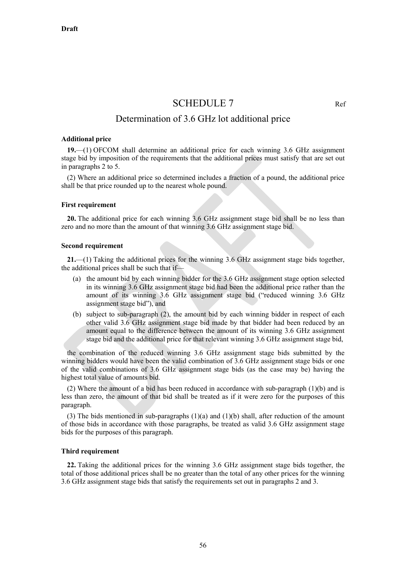## SCHEDULE 7 Ref

## Determination of 3.6 GHz lot additional price

#### **Additional price**

**19.**—(1) OFCOM shall determine an additional price for each winning 3.6 GHz assignment stage bid by imposition of the requirements that the additional prices must satisfy that are set out in paragraphs 2 to 5.

(2) Where an additional price so determined includes a fraction of a pound, the additional price shall be that price rounded up to the nearest whole pound.

#### **First requirement**

**20.** The additional price for each winning 3.6 GHz assignment stage bid shall be no less than zero and no more than the amount of that winning 3.6 GHz assignment stage bid.

#### **Second requirement**

**21.**—(1) Taking the additional prices for the winning 3.6 GHz assignment stage bids together, the additional prices shall be such that if—

- (a) the amount bid by each winning bidder for the 3.6 GHz assignment stage option selected in its winning 3.6 GHz assignment stage bid had been the additional price rather than the amount of its winning 3.6 GHz assignment stage bid ("reduced winning 3.6 GHz assignment stage bid"), and
- (b) subject to sub-paragraph (2), the amount bid by each winning bidder in respect of each other valid 3.6 GHz assignment stage bid made by that bidder had been reduced by an amount equal to the difference between the amount of its winning 3.6 GHz assignment stage bid and the additional price for that relevant winning 3.6 GHz assignment stage bid,

the combination of the reduced winning 3.6 GHz assignment stage bids submitted by the winning bidders would have been the valid combination of 3.6 GHz assignment stage bids or one of the valid combinations of 3.6 GHz assignment stage bids (as the case may be) having the highest total value of amounts bid.

(2) Where the amount of a bid has been reduced in accordance with sub-paragraph (1)(b) and is less than zero, the amount of that bid shall be treated as if it were zero for the purposes of this paragraph.

(3) The bids mentioned in sub-paragraphs  $(1)(a)$  and  $(1)(b)$  shall, after reduction of the amount of those bids in accordance with those paragraphs, be treated as valid 3.6 GHz assignment stage bids for the purposes of this paragraph.

#### **Third requirement**

**22.** Taking the additional prices for the winning 3.6 GHz assignment stage bids together, the total of those additional prices shall be no greater than the total of any other prices for the winning 3.6 GHz assignment stage bids that satisfy the requirements set out in paragraphs 2 and 3.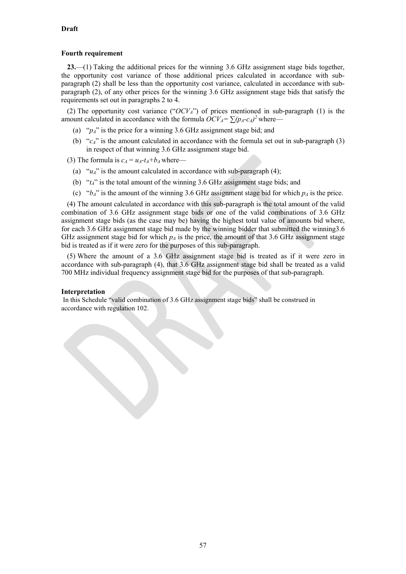#### **Fourth requirement**

**23.**—(1) Taking the additional prices for the winning 3.6 GHz assignment stage bids together, the opportunity cost variance of those additional prices calculated in accordance with subparagraph (2) shall be less than the opportunity cost variance, calculated in accordance with subparagraph (2), of any other prices for the winning 3.6 GHz assignment stage bids that satisfy the requirements set out in paragraphs 2 to 4.

(2) The opportunity cost variance ("*OCVA*") of prices mentioned in sub-paragraph (1) is the amount calculated in accordance with the formula  $OCV_A = \sum (p_A - c_A)^2$  where—

- (a) " $p_A$ " is the price for a winning 3.6 GHz assignment stage bid; and
- (b) "*cA*" is the amount calculated in accordance with the formula set out in sub-paragraph (3) in respect of that winning 3.6 GHz assignment stage bid.

(3) The formula is  $c_A = u_A - t_A + b_A$  where—

- (a) " $u_A$ " is the amount calculated in accordance with sub-paragraph (4);
- (b) "*tA*" is the total amount of the winning 3.6 GHz assignment stage bids; and
- (c) " $b_A$ " is the amount of the winning 3.6 GHz assignment stage bid for which  $p_A$  is the price.

(4) The amount calculated in accordance with this sub-paragraph is the total amount of the valid combination of 3.6 GHz assignment stage bids or one of the valid combinations of 3.6 GHz assignment stage bids (as the case may be) having the highest total value of amounts bid where, for each 3.6 GHz assignment stage bid made by the winning bidder that submitted the winning3.6 GHz assignment stage bid for which  $p_A$  is the price, the amount of that 3.6 GHz assignment stage bid is treated as if it were zero for the purposes of this sub-paragraph.

(5) Where the amount of a 3.6 GHz assignment stage bid is treated as if it were zero in accordance with sub-paragraph (4), that 3.6 GHz assignment stage bid shall be treated as a valid 700 MHz individual frequency assignment stage bid for the purposes of that sub-paragraph.

#### **Interpretation**

In this Schedule "valid combination of 3.6 GHz assignment stage bids" shall be construed in accordance with regulation 102.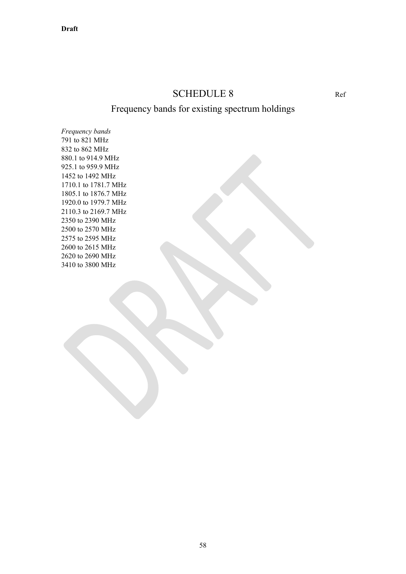## SCHEDULE 8 Ref

## Frequency bands for existing spectrum holdings

*Frequency bands* 791 to 821 MHz 832 to 862 MHz 880.1 to 914.9 MHz 925.1 to 959.9 MHz 1452 to 1492 MHz 1710.1 to 1781.7 MHz 1805.1 to 1876.7 MHz 1920.0 to 1979.7 MHz 2110.3 to 2169.7 MHz 2350 to 2390 MHz 2500 to 2570 MHz 2575 to 2595 MHz 2600 to 2615 MHz 2620 to 2690 MHz 3410 to 3800 MHz